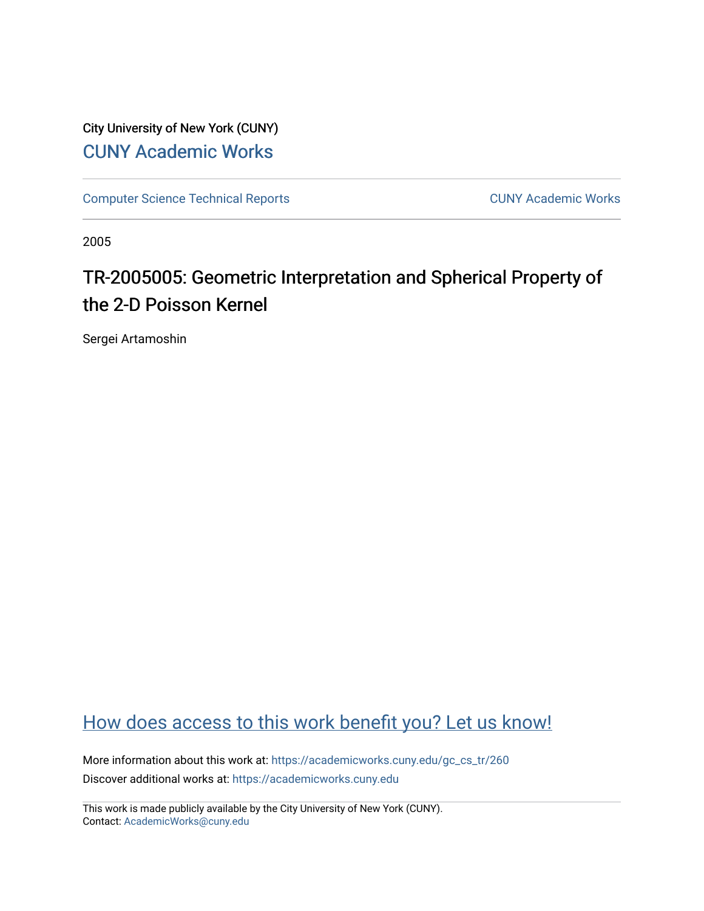City University of New York (CUNY) [CUNY Academic Works](https://academicworks.cuny.edu/) 

[Computer Science Technical Reports](https://academicworks.cuny.edu/gc_cs_tr) **CUNY Academic Works** CUNY Academic Works

2005

## TR-2005005: Geometric Interpretation and Spherical Property of the 2-D Poisson Kernel

Sergei Artamoshin

### [How does access to this work benefit you? Let us know!](http://ols.cuny.edu/academicworks/?ref=https://academicworks.cuny.edu/gc_cs_tr/260)

More information about this work at: [https://academicworks.cuny.edu/gc\\_cs\\_tr/260](https://academicworks.cuny.edu/gc_cs_tr/260)  Discover additional works at: [https://academicworks.cuny.edu](https://academicworks.cuny.edu/?)

This work is made publicly available by the City University of New York (CUNY). Contact: [AcademicWorks@cuny.edu](mailto:AcademicWorks@cuny.edu)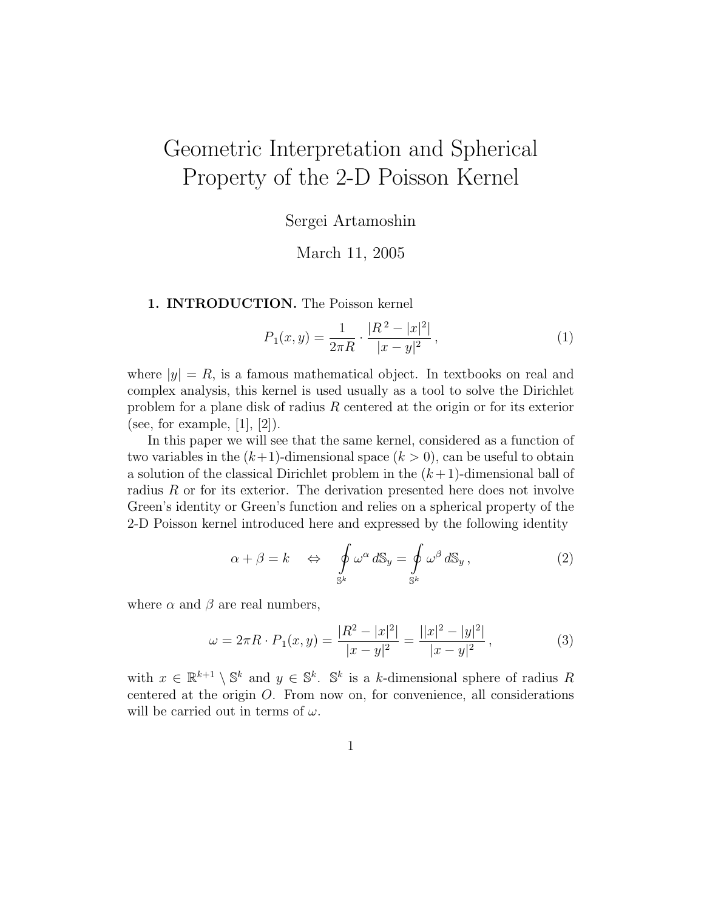# Geometric Interpretation and Spherical Property of the 2-D Poisson Kernel

Sergei Artamoshin

March 11, 2005

#### 1. INTRODUCTION. The Poisson kernel

$$
P_1(x,y) = \frac{1}{2\pi R} \cdot \frac{|R^2 - |x|^2|}{|x - y|^2},\tag{1}
$$

where  $|y| = R$ , is a famous mathematical object. In textbooks on real and complex analysis, this kernel is used usually as a tool to solve the Dirichlet problem for a plane disk of radius R centered at the origin or for its exterior (see, for example,  $[1]$ ,  $[2]$ ).

In this paper we will see that the same kernel, considered as a function of two variables in the  $(k+1)$ -dimensional space  $(k > 0)$ , can be useful to obtain a solution of the classical Dirichlet problem in the  $(k+1)$ -dimensional ball of radius R or for its exterior. The derivation presented here does not involve Green's identity or Green's function and relies on a spherical property of the 2-D Poisson kernel introduced here and expressed by the following identity

$$
\alpha + \beta = k \quad \Leftrightarrow \quad \oint_{S^k} \omega^{\alpha} \, dS_y = \oint_{S^k} \omega^{\beta} \, dS_y \,, \tag{2}
$$

where  $\alpha$  and  $\beta$  are real numbers,

$$
\omega = 2\pi R \cdot P_1(x, y) = \frac{|R^2 - |x|^2|}{|x - y|^2} = \frac{||x|^2 - |y|^2|}{|x - y|^2},\tag{3}
$$

with  $x \in \mathbb{R}^{k+1} \setminus \mathbb{S}^k$  and  $y \in \mathbb{S}^k$ .  $\mathbb{S}^k$  is a k-dimensional sphere of radius R centered at the origin O. From now on, for convenience, all considerations will be carried out in terms of  $\omega$ .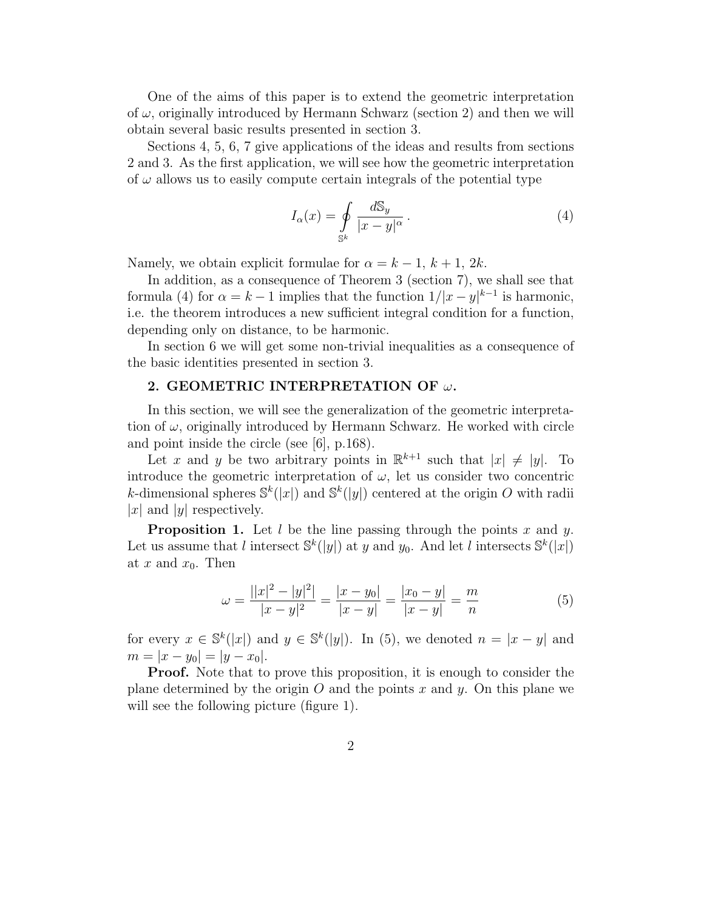One of the aims of this paper is to extend the geometric interpretation of  $\omega$ , originally introduced by Hermann Schwarz (section 2) and then we will obtain several basic results presented in section 3.

Sections 4, 5, 6, 7 give applications of the ideas and results from sections 2 and 3. As the first application, we will see how the geometric interpretation of  $\omega$  allows us to easily compute certain integrals of the potential type

$$
I_{\alpha}(x) = \oint\limits_{\mathbb{S}^{k}} \frac{d\mathbb{S}_{y}}{|x - y|^{\alpha}}.
$$
 (4)

Namely, we obtain explicit formulae for  $\alpha = k - 1, k + 1, 2k$ .

In addition, as a consequence of Theorem 3 (section 7), we shall see that formula (4) for  $\alpha = k - 1$  implies that the function  $1/|x - y|^{k-1}$  is harmonic, i.e. the theorem introduces a new sufficient integral condition for a function, depending only on distance, to be harmonic.

In section 6 we will get some non-trivial inequalities as a consequence of the basic identities presented in section 3.

#### 2. GEOMETRIC INTERPRETATION OF  $\omega$ .

In this section, we will see the generalization of the geometric interpretation of  $\omega$ , originally introduced by Hermann Schwarz. He worked with circle and point inside the circle (see [6], p.168).

Let x and y be two arbitrary points in  $\mathbb{R}^{k+1}$  such that  $|x| \neq |y|$ . To introduce the geometric interpretation of  $\omega$ , let us consider two concentric k-dimensional spheres  $\mathbb{S}^k(|x|)$  and  $\mathbb{S}^k(|y|)$  centered at the origin O with radii |x| and |y| respectively.

**Proposition 1.** Let  $l$  be the line passing through the points  $x$  and  $y$ . Let us assume that l intersect  $\mathbb{S}^k(|y|)$  at y and y<sub>0</sub>. And let l intersects  $\mathbb{S}^k(|x|)$ at x and  $x_0$ . Then

$$
\omega = \frac{||x|^2 - |y|^2|}{|x - y|^2} = \frac{|x - y_0|}{|x - y|} = \frac{|x_0 - y|}{|x - y|} = \frac{m}{n} \tag{5}
$$

for every  $x \in \mathbb{S}^k(|x|)$  and  $y \in \mathbb{S}^k(|y|)$ . In (5), we denoted  $n = |x - y|$  and  $m = |x - y_0| = |y - x_0|.$ 

Proof. Note that to prove this proposition, it is enough to consider the plane determined by the origin O and the points x and y. On this plane we will see the following picture (figure 1).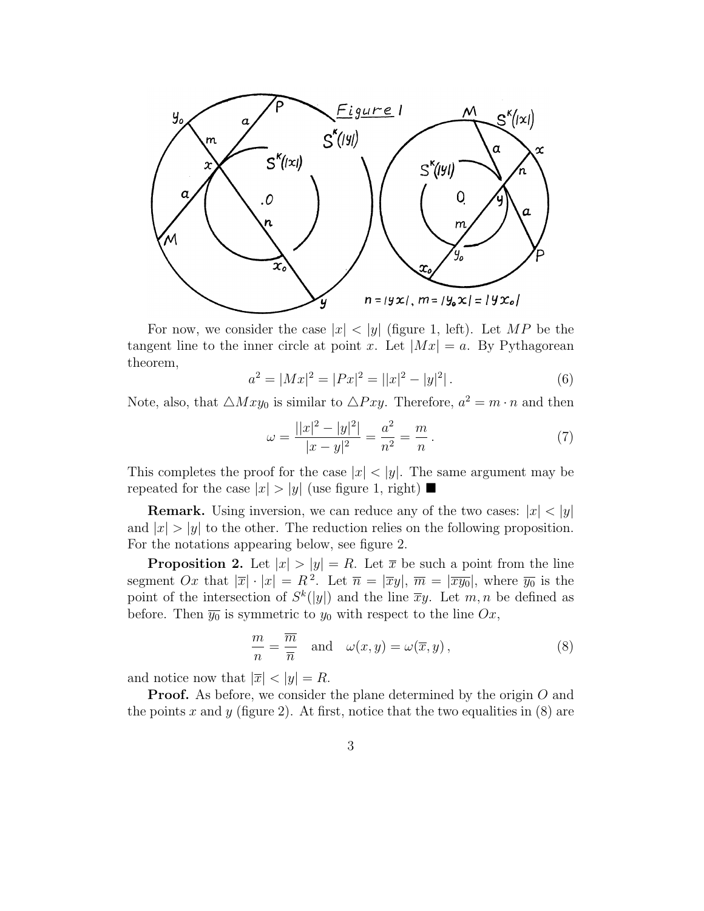

For now, we consider the case  $|x| < |y|$  (figure 1, left). Let MP be the tangent line to the inner circle at point x. Let  $|Mx| = a$ . By Pythagorean theorem,

$$
a^2 = |Mx|^2 = |Px|^2 = ||x|^2 - |y|^2|.
$$
 (6)

Note, also, that  $\triangle Mxy_0$  is similar to  $\triangle Pxy$ . Therefore,  $a^2 = m \cdot n$  and then

$$
\omega = \frac{||x|^2 - |y|^2|}{|x - y|^2} = \frac{a^2}{n^2} = \frac{m}{n}.
$$
\n(7)

This completes the proof for the case  $|x| < |y|$ . The same argument may be repeated for the case  $|x| > |y|$  (use figure 1, right)

**Remark.** Using inversion, we can reduce any of the two cases:  $|x| < |y|$ and  $|x| > |y|$  to the other. The reduction relies on the following proposition. For the notations appearing below, see figure 2.

**Proposition 2.** Let  $|x| > |y| = R$ . Let  $\overline{x}$  be such a point from the line segment Ox that  $|\overline{x}| \cdot |x| = R^2$ . Let  $\overline{n} = |\overline{x}y|$ ,  $\overline{m} = |\overline{x}\overline{y_0}|$ , where  $\overline{y_0}$  is the point of the intersection of  $S^k(|y|)$  and the line  $\overline{x}y$ . Let  $m, n$  be defined as before. Then  $\overline{y_0}$  is symmetric to  $y_0$  with respect to the line  $Ox$ ,

$$
\frac{m}{n} = \frac{\overline{m}}{\overline{n}} \quad \text{and} \quad \omega(x, y) = \omega(\overline{x}, y), \tag{8}
$$

and notice now that  $|\overline{x}| < |y| = R$ .

**Proof.** As before, we consider the plane determined by the origin O and the points x and y (figure 2). At first, notice that the two equalities in  $(8)$  are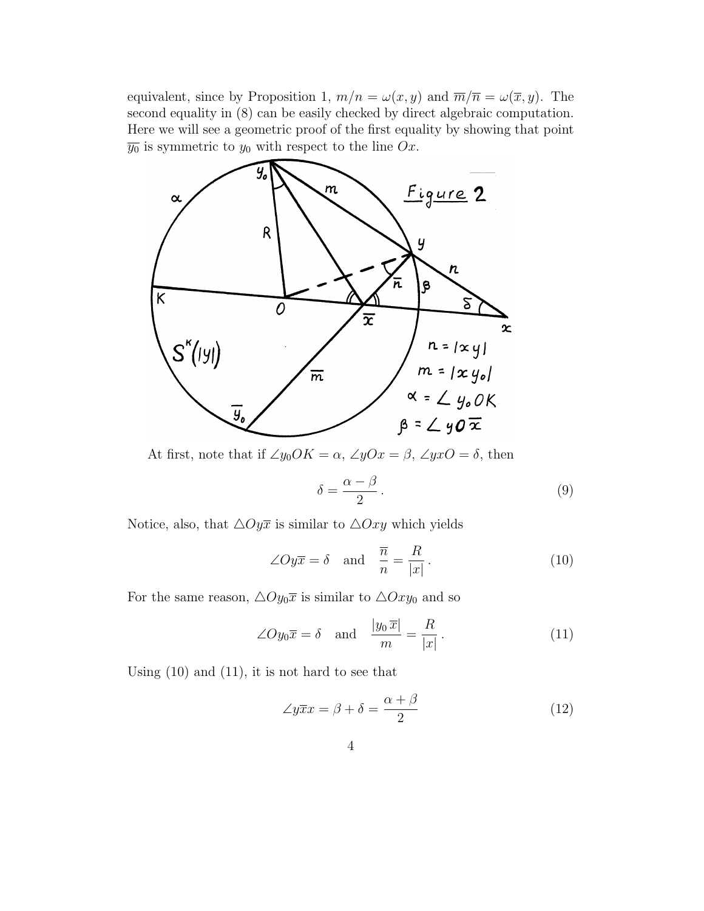equivalent, since by Proposition 1,  $m/n = \omega(x, y)$  and  $\overline{m}/\overline{n} = \omega(\overline{x}, y)$ . The second equality in (8) can be easily checked by direct algebraic computation. Here we will see a geometric proof of the first equality by showing that point  $\overline{y_0}$  is symmetric to  $y_0$  with respect to the line Ox.



At first, note that if  $\angle y_0OK = \alpha$ ,  $\angle yOx = \beta$ ,  $\angle yxO = \delta$ , then

$$
\delta = \frac{\alpha - \beta}{2} \,. \tag{9}
$$

Notice, also, that  $\triangle Oy\overline{x}$  is similar to  $\triangle Oxy$  which yields

$$
\angle Oy\overline{x} = \delta \quad \text{and} \quad \frac{\overline{n}}{n} = \frac{R}{|x|}.
$$
 (10)

For the same reason,  $\triangle O y_0 \overline{x}$  is similar to  $\triangle O xy_0$  and so

$$
\angle O y_0 \overline{x} = \delta \quad \text{and} \quad \frac{|y_0 \overline{x}|}{m} = \frac{R}{|x|}.
$$
 (11)

Using (10) and (11), it is not hard to see that

$$
\angle y\overline{x}x = \beta + \delta = \frac{\alpha + \beta}{2} \tag{12}
$$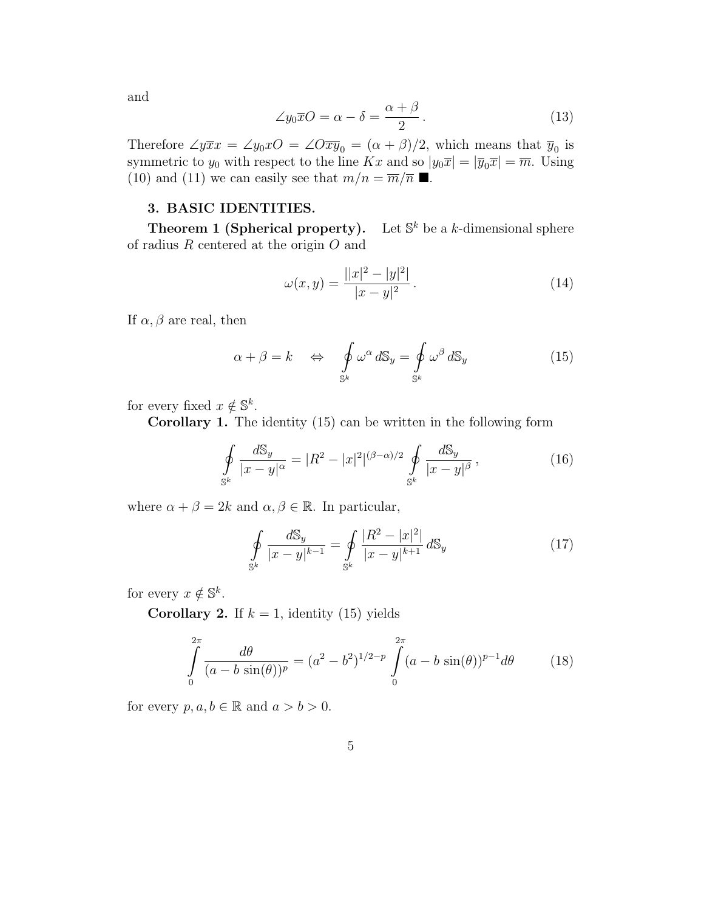and

$$
\angle y_0 \overline{x} O = \alpha - \delta = \frac{\alpha + \beta}{2}.
$$
 (13)

Therefore  $\angle y\overline{x}x = \angle y_0xO = \angle O\overline{xy}_0 = (\alpha + \beta)/2$ , which means that  $\overline{y}_0$  is symmetric to  $y_0$  with respect to the line Kx and so  $|y_0\overline{x}| = |\overline{y}_0\overline{x}| = \overline{m}$ . Using (10) and (11) we can easily see that  $m/n = \overline{m}/\overline{n}$  .

#### 3. BASIC IDENTITIES.

Theorem 1 (Spherical property). Let  $\mathbb{S}^k$  be a k-dimensional sphere of radius  $R$  centered at the origin  $O$  and

$$
\omega(x,y) = \frac{||x|^2 - |y|^2|}{|x - y|^2}.
$$
\n(14)

If  $\alpha, \beta$  are real, then

$$
\alpha + \beta = k \quad \Leftrightarrow \quad \oint_{\mathbb{S}^k} \omega^{\alpha} dS_y = \oint_{\mathbb{S}^k} \omega^{\beta} dS_y \tag{15}
$$

for every fixed  $x \notin \mathbb{S}^k$ .

Corollary 1. The identity (15) can be written in the following form

$$
\oint_{S^k} \frac{dS_y}{|x - y|^{\alpha}} = |R^2 - |x|^2|^{(\beta - \alpha)/2} \oint_{S^k} \frac{dS_y}{|x - y|^{\beta}},
$$
\n(16)

where  $\alpha + \beta = 2k$  and  $\alpha, \beta \in \mathbb{R}$ . In particular,

$$
\oint_{\mathbb{S}^k} \frac{d\mathbb{S}_y}{|x-y|^{k-1}} = \oint_{\mathbb{S}^k} \frac{|R^2 - |x|^2|}{|x-y|^{k+1}} d\mathbb{S}_y \tag{17}
$$

for every  $x \notin \mathbb{S}^k$ .

**Corollary 2.** If  $k = 1$ , identity (15) yields

$$
\int_{0}^{2\pi} \frac{d\theta}{(a-b\sin(\theta))^p} = (a^2 - b^2)^{1/2-p} \int_{0}^{2\pi} (a-b\sin(\theta))^{p-1} d\theta \qquad (18)
$$

for every  $p, a, b \in \mathbb{R}$  and  $a > b > 0$ .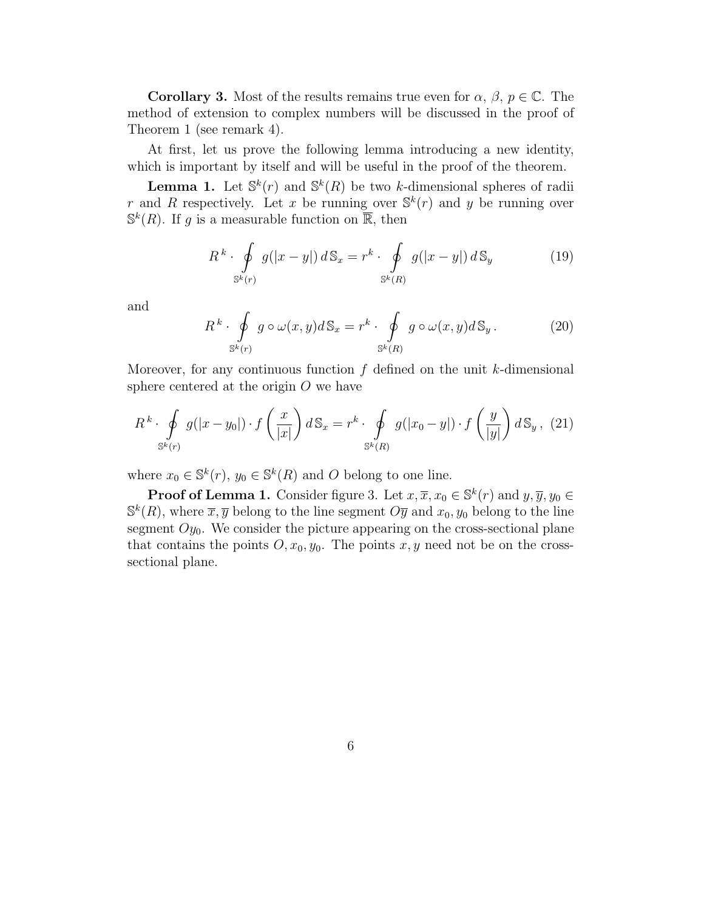**Corollary 3.** Most of the results remains true even for  $\alpha$ ,  $\beta$ ,  $p \in \mathbb{C}$ . The method of extension to complex numbers will be discussed in the proof of Theorem 1 (see remark 4).

At first, let us prove the following lemma introducing a new identity, which is important by itself and will be useful in the proof of the theorem.

**Lemma 1.** Let  $\mathbb{S}^k(r)$  and  $\mathbb{S}^k(R)$  be two k-dimensional spheres of radii r and R respectively. Let x be running over  $\mathbb{S}^k(r)$  and y be running over  $\mathbb{S}^k(R)$ . If g is a measurable function on  $\overline{\mathbb{R}}$ , then

$$
R^{k} \cdot \oint_{\mathbb{S}^{k}(r)} g(|x-y|) d\mathbb{S}_{x} = r^{k} \cdot \oint_{\mathbb{S}^{k}(R)} g(|x-y|) d\mathbb{S}_{y}
$$
(19)

and

$$
R^{k} \cdot \oint_{\mathbb{S}^{k}(r)} g \circ \omega(x, y) d\mathbb{S}_{x} = r^{k} \cdot \oint_{\mathbb{S}^{k}(R)} g \circ \omega(x, y) d\mathbb{S}_{y}.
$$
 (20)

Moreover, for any continuous function  $f$  defined on the unit  $k$ -dimensional sphere centered at the origin  $O$  we have

$$
R^{k} \cdot \oint_{\mathbb{S}^{k}(r)} g(|x - y_{0}|) \cdot f\left(\frac{x}{|x|}\right) d\mathbb{S}_{x} = r^{k} \cdot \oint_{\mathbb{S}^{k}(R)} g(|x_{0} - y|) \cdot f\left(\frac{y}{|y|}\right) d\mathbb{S}_{y}, \tag{21}
$$

where  $x_0 \in \mathbb{S}^k(r)$ ,  $y_0 \in \mathbb{S}^k(R)$  and O belong to one line.

**Proof of Lemma 1.** Consider figure 3. Let  $x, \overline{x}, x_0 \in \mathbb{S}^k(r)$  and  $y, \overline{y}, y_0 \in \mathbb{S}^k(r)$  $\mathbb{S}^k(R)$ , where  $\overline{x}, \overline{y}$  belong to the line segment  $O\overline{y}$  and  $x_0, y_0$  belong to the line segment  $O_{y_0}$ . We consider the picture appearing on the cross-sectional plane that contains the points  $O, x_0, y_0$ . The points x, y need not be on the crosssectional plane.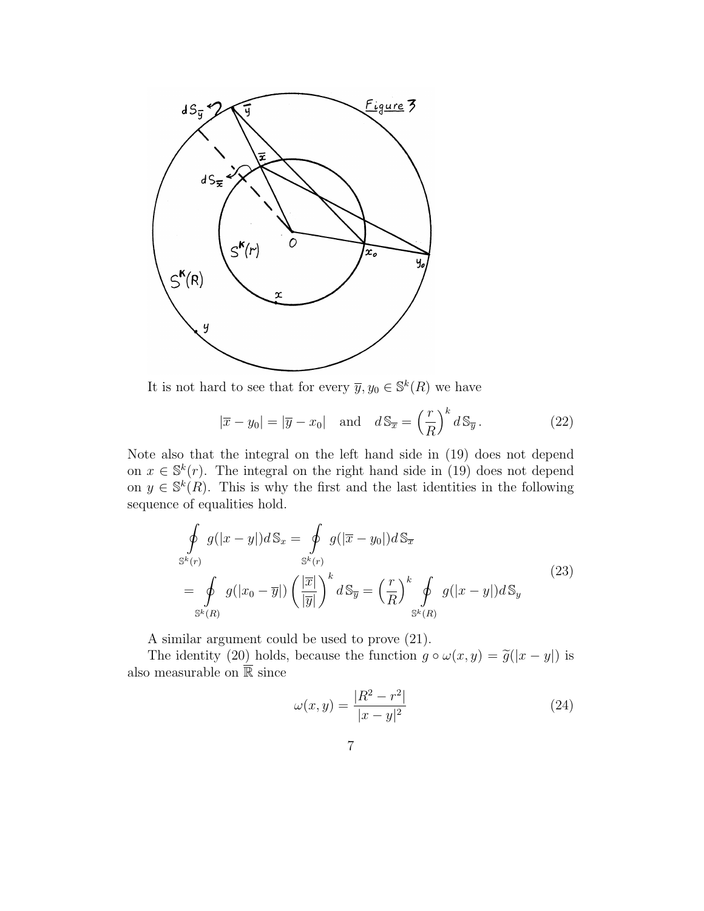

It is not hard to see that for every  $\overline{y}, y_0 \in \mathbb{S}^k(R)$  we have

$$
|\overline{x} - y_0| = |\overline{y} - x_0| \quad \text{and} \quad d\mathbb{S}_{\overline{x}} = \left(\frac{r}{R}\right)^k d\mathbb{S}_{\overline{y}}.
$$
 (22)

Note also that the integral on the left hand side in (19) does not depend on  $x \in \mathbb{S}^k(r)$ . The integral on the right hand side in (19) does not depend on  $y \in \mathbb{S}^k(R)$ . This is why the first and the last identities in the following sequence of equalities hold.

$$
\oint_{S^k(r)} g(|x-y|) dS_x = \oint_{S^k(r)} g(|\overline{x}-y_0|) dS_{\overline{x}}\n= \oint_{S^k(R)} g(|x_0 - \overline{y}|) \left(\frac{|\overline{x}|}{|\overline{y}|}\right)^k dS_{\overline{y}} = \left(\frac{r}{R}\right)^k \oint_{S^k(R)} g(|x-y|) dS_y
$$
\n(23)

A similar argument could be used to prove (21).

The identity (20) holds, because the function  $g \circ \omega(x,y) = \tilde{g}(|x-y|)$  is also measurable on  $\overline{\mathbb{R}}$  since

$$
\omega(x,y) = \frac{|R^2 - r^2|}{|x - y|^2} \tag{24}
$$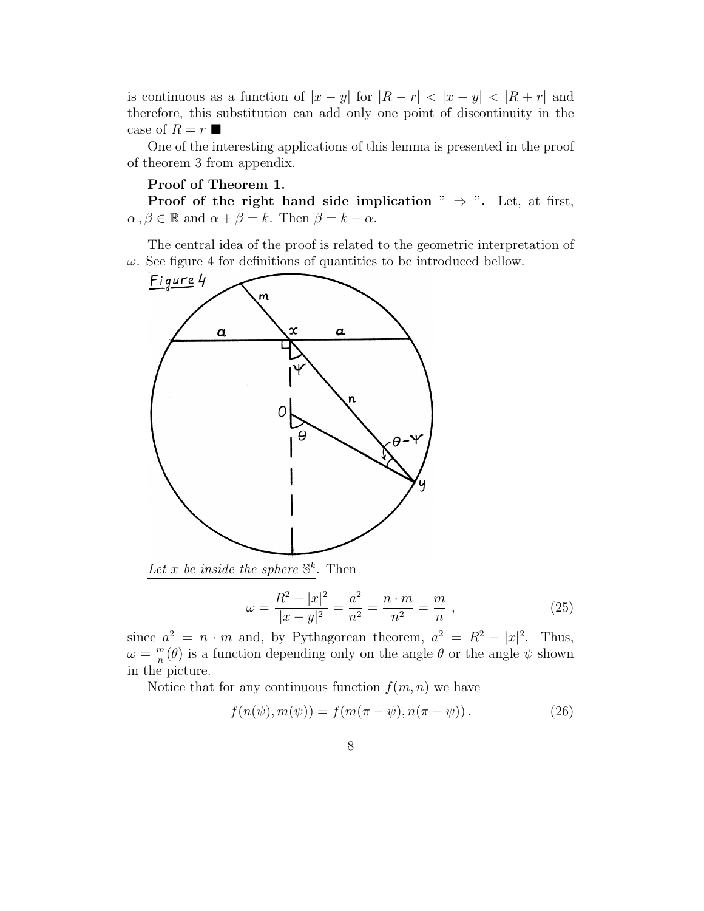is continuous as a function of  $|x - y|$  for  $|R - r| < |x - y| < |R + r|$  and therefore, this substitution can add only one point of discontinuity in the case of  $R = r$ 

One of the interesting applications of this lemma is presented in the proof of theorem 3 from appendix.

#### Proof of Theorem 1.

Proof of the right hand side implication "  $\Rightarrow$  ". Let, at first,  $\alpha, \beta \in \mathbb{R}$  and  $\alpha + \beta = k$ . Then  $\beta = k - \alpha$ .

The central idea of the proof is related to the geometric interpretation of  $\omega$ . See figure 4 for definitions of quantities to be introduced bellow.



Let x be inside the sphere  $\mathbb{S}^k$ . Then

$$
\omega = \frac{R^2 - |x|^2}{|x - y|^2} = \frac{a^2}{n^2} = \frac{n \cdot m}{n^2} = \frac{m}{n},
$$
\n(25)

since  $a^2 = n \cdot m$  and, by Pythagorean theorem,  $a^2 = R^2 - |x|^2$ . Thus,  $\omega = \frac{m}{n}$  $\frac{m}{n}(\theta)$  is a function depending only on the angle  $\theta$  or the angle  $\psi$  shown in the picture.

Notice that for any continuous function  $f(m, n)$  we have

$$
f(n(\psi), m(\psi)) = f(m(\pi - \psi), n(\pi - \psi)).
$$
 (26)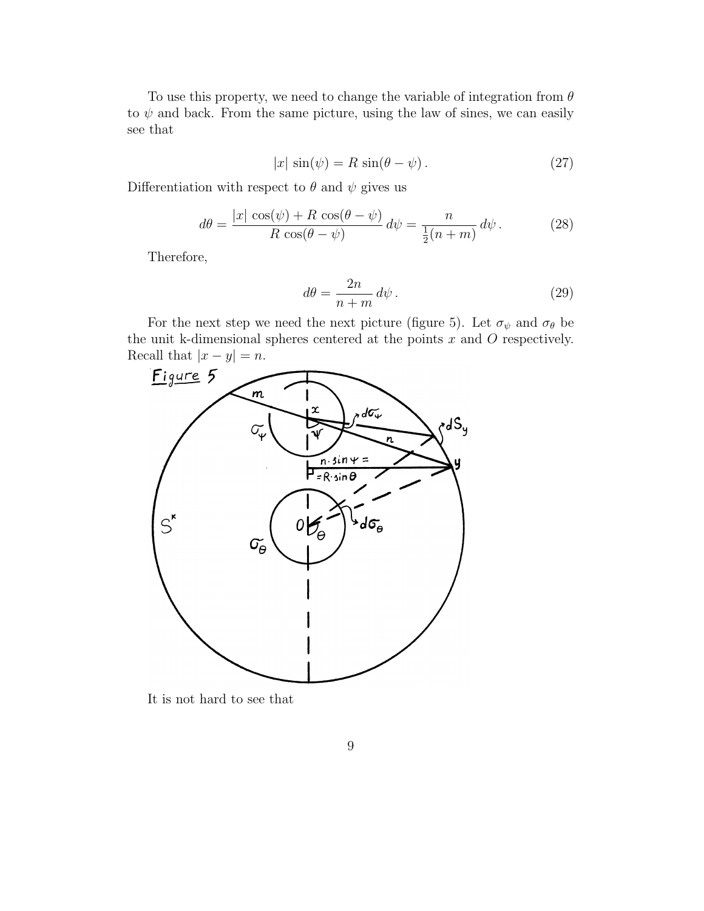To use this property, we need to change the variable of integration from  $\theta$ to  $\psi$  and back. From the same picture, using the law of sines, we can easily see that

$$
|x| \sin(\psi) = R \sin(\theta - \psi). \tag{27}
$$

Differentiation with respect to  $\theta$  and  $\psi$  gives us

$$
d\theta = \frac{|x| \cos(\psi) + R \cos(\theta - \psi)}{R \cos(\theta - \psi)} d\psi = \frac{n}{\frac{1}{2}(n+m)} d\psi.
$$
 (28)

Therefore,

$$
d\theta = \frac{2n}{n+m} \, d\psi \,. \tag{29}
$$

For the next step we need the next picture (figure 5). Let  $\sigma_{\psi}$  and  $\sigma_{\theta}$  be the unit k-dimensional spheres centered at the points  $x$  and  $O$  respectively.



It is not hard to see that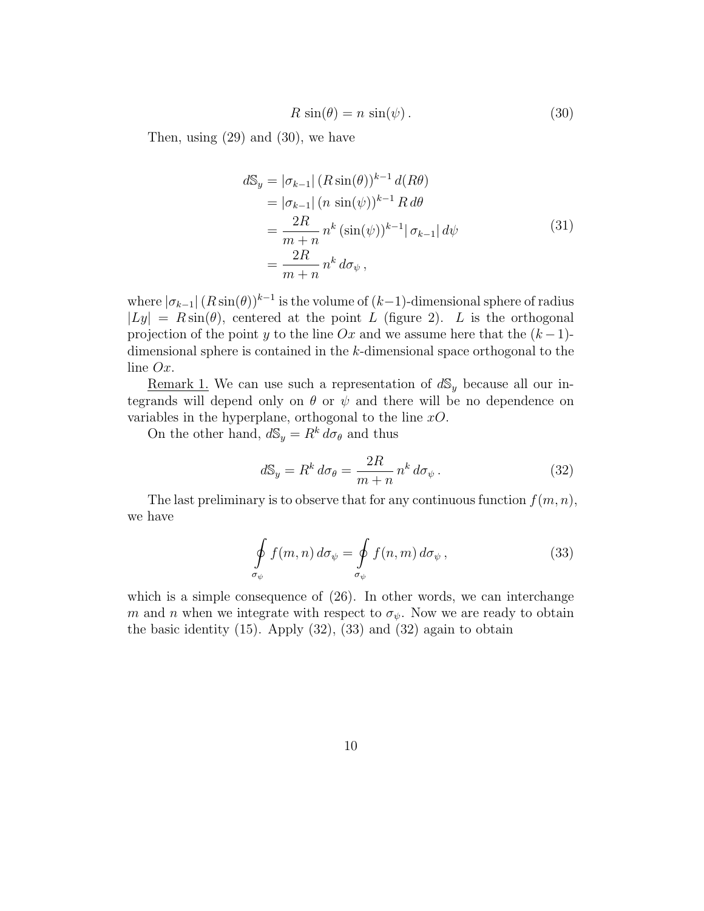$$
R\sin(\theta) = n\sin(\psi). \tag{30}
$$

Then, using (29) and (30), we have

$$
d\mathbb{S}_y = |\sigma_{k-1}| (R \sin(\theta))^{k-1} d(R\theta)
$$
  
\n
$$
= |\sigma_{k-1}| (n \sin(\psi))^{k-1} R d\theta
$$
  
\n
$$
= \frac{2R}{m+n} n^k (\sin(\psi))^{k-1} |\sigma_{k-1}| d\psi
$$
  
\n
$$
= \frac{2R}{m+n} n^k d\sigma_{\psi},
$$
\n(31)

where  $|\sigma_{k-1}| (R \sin(\theta))^{k-1}$  is the volume of  $(k-1)$ -dimensional sphere of radius  $|Ly| = R \sin(\theta)$ , centered at the point L (figure 2). L is the orthogonal projection of the point y to the line Ox and we assume here that the  $(k-1)$ dimensional sphere is contained in the k-dimensional space orthogonal to the line Ox.

<u>Remark 1.</u> We can use such a representation of  $dS_y$  because all our integrands will depend only on  $\theta$  or  $\psi$  and there will be no dependence on variables in the hyperplane, orthogonal to the line  $xO$ .

On the other hand,  $d\mathbb{S}_y = R^k d\sigma_\theta$  and thus

$$
d\mathbb{S}_y = R^k \, d\sigma_\theta = \frac{2R}{m+n} \, n^k \, d\sigma_\psi \,. \tag{32}
$$

The last preliminary is to observe that for any continuous function  $f(m,n)$ , we have

$$
\oint_{\sigma_{\psi}} f(m, n) d\sigma_{\psi} = \oint_{\sigma_{\psi}} f(n, m) d\sigma_{\psi},
$$
\n(33)

which is a simple consequence of  $(26)$ . In other words, we can interchange m and n when we integrate with respect to  $\sigma_{\psi}$ . Now we are ready to obtain the basic identity  $(15)$ . Apply  $(32)$ ,  $(33)$  and  $(32)$  again to obtain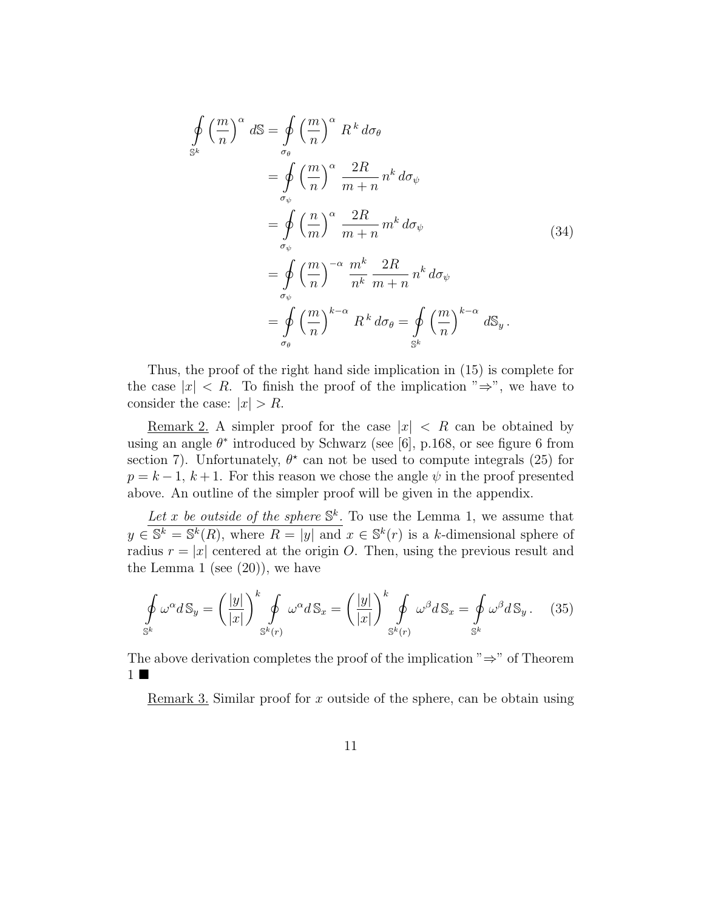$$
\oint_{S^k} \left(\frac{m}{n}\right)^{\alpha} dS = \oint_{\sigma_{\theta}} \left(\frac{m}{n}\right)^{\alpha} R^k d\sigma_{\theta}
$$
\n
$$
= \oint_{\sigma_{\psi}} \left(\frac{m}{n}\right)^{\alpha} \frac{2R}{m+n} n^k d\sigma_{\psi}
$$
\n
$$
= \oint_{\sigma_{\psi}} \left(\frac{n}{m}\right)^{\alpha} \frac{2R}{m+n} m^k d\sigma_{\psi}
$$
\n
$$
= \oint_{\sigma_{\psi}} \left(\frac{m}{n}\right)^{-\alpha} \frac{m^k}{n^k} \frac{2R}{m+n} n^k d\sigma_{\psi}
$$
\n
$$
= \oint_{\sigma_{\phi}} \left(\frac{m}{n}\right)^{k-\alpha} R^k d\sigma_{\theta} = \oint_{S^k} \left(\frac{m}{n}\right)^{k-\alpha} dS_y.
$$
\n(34)

Thus, the proof of the right hand side implication in (15) is complete for the case  $|x| < R$ . To finish the proof of the implication " $\Rightarrow$ ", we have to consider the case:  $|x| > R$ .

<u>Remark 2.</u> A simpler proof for the case  $|x| < R$  can be obtained by using an angle  $\theta^*$  introduced by Schwarz (see [6], p.168, or see figure 6 from section 7). Unfortunately,  $\theta^*$  can not be used to compute integrals (25) for  $p = k - 1$ ,  $k + 1$ . For this reason we chose the angle  $\psi$  in the proof presented above. An outline of the simpler proof will be given in the appendix.

Let x be outside of the sphere  $\mathbb{S}^k$ . To use the Lemma 1, we assume that  $y \in \mathbb{S}^k = \mathbb{S}^k(R)$ , where  $R = |y|$  and  $x \in \mathbb{S}^k(r)$  is a k-dimensional sphere of radius  $r = |x|$  centered at the origin O. Then, using the previous result and the Lemma 1 (see  $(20)$ ), we have

$$
\oint_{\mathbb{S}^k} \omega^{\alpha} d\mathbb{S}_y = \left(\frac{|y|}{|x|}\right)^k \oint_{\mathbb{S}^k(r)} \omega^{\alpha} d\mathbb{S}_x = \left(\frac{|y|}{|x|}\right)^k \oint_{\mathbb{S}^k(r)} \omega^{\beta} d\mathbb{S}_x = \oint_{\mathbb{S}^k} \omega^{\beta} d\mathbb{S}_y. \tag{35}
$$

The above derivation completes the proof of the implication "⇒" of Theorem  $1 \blacksquare$ 

Remark 3. Similar proof for x outside of the sphere, can be obtain using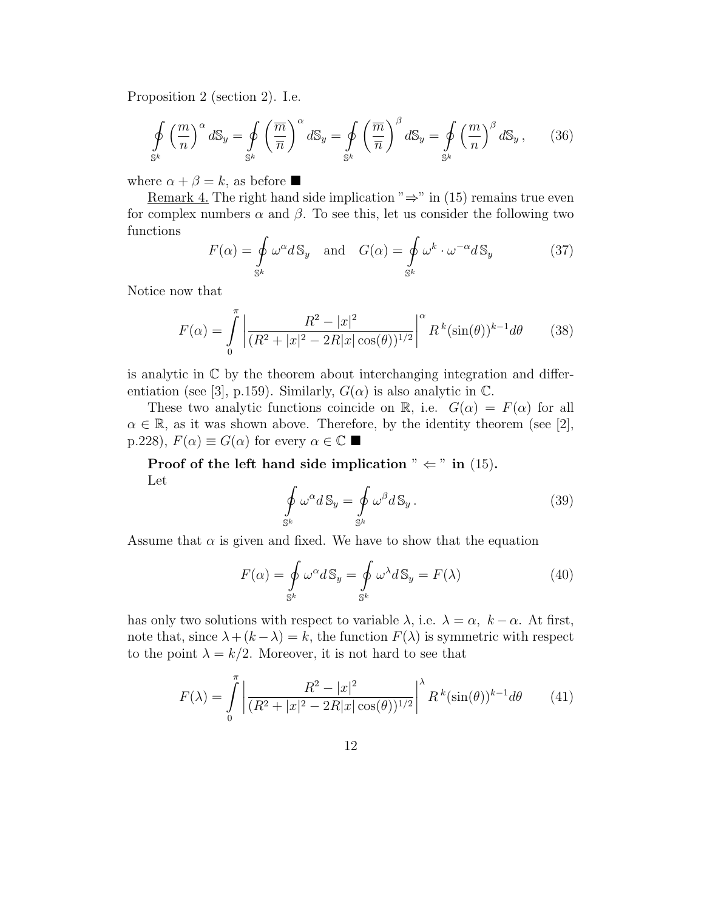Proposition 2 (section 2). I.e.

$$
\oint_{\mathbb{S}^k} \left(\frac{m}{n}\right)^{\alpha} d\mathbb{S}_y = \oint_{\mathbb{S}^k} \left(\frac{\overline{m}}{\overline{n}}\right)^{\alpha} d\mathbb{S}_y = \oint_{\mathbb{S}^k} \left(\frac{\overline{m}}{\overline{n}}\right)^{\beta} d\mathbb{S}_y = \oint_{\mathbb{S}^k} \left(\frac{m}{n}\right)^{\beta} d\mathbb{S}_y, \qquad (36)
$$

where  $\alpha + \beta = k$ , as before

Remark 4. The right hand side implication " $\Rightarrow$ " in (15) remains true even for complex numbers  $\alpha$  and  $\beta$ . To see this, let us consider the following two functions

$$
F(\alpha) = \oint_{\mathbb{S}^k} \omega^{\alpha} d\mathbb{S}_y \quad \text{and} \quad G(\alpha) = \oint_{\mathbb{S}^k} \omega^k \cdot \omega^{-\alpha} d\mathbb{S}_y \tag{37}
$$

Notice now that

$$
F(\alpha) = \int_{0}^{\pi} \left| \frac{R^2 - |x|^2}{(R^2 + |x|^2 - 2R|x|\cos(\theta))^{1/2}} \right|^{\alpha} R^k(\sin(\theta))^{k-1} d\theta \qquad (38)
$$

is analytic in  $\mathbb C$  by the theorem about interchanging integration and differentiation (see [3], p.159). Similarly,  $G(\alpha)$  is also analytic in  $\mathbb{C}$ .

These two analytic functions coincide on R, i.e.  $G(\alpha) = F(\alpha)$  for all  $\alpha \in \mathbb{R}$ , as it was shown above. Therefore, by the identity theorem (see [2], p.228),  $F(\alpha) \equiv G(\alpha)$  for every  $\alpha \in \mathbb{C}$ 

Proof of the left hand side implication "  $\Leftarrow$  " in (15). Let

$$
\oint_{\mathbb{S}^k} \omega^{\alpha} d\mathbb{S}_y = \oint_{\mathbb{S}^k} \omega^{\beta} d\mathbb{S}_y.
$$
\n(39)

Assume that  $\alpha$  is given and fixed. We have to show that the equation

$$
F(\alpha) = \oint_{S^k} \omega^{\alpha} dS_y = \oint_{S^k} \omega^{\lambda} dS_y = F(\lambda)
$$
 (40)

has only two solutions with respect to variable  $\lambda$ , i.e.  $\lambda = \alpha$ ,  $k - \alpha$ . At first, note that, since  $\lambda + (k - \lambda) = k$ , the function  $F(\lambda)$  is symmetric with respect to the point  $\lambda = k/2$ . Moreover, it is not hard to see that

$$
F(\lambda) = \int_{0}^{\pi} \left| \frac{R^2 - |x|^2}{(R^2 + |x|^2 - 2R|x|\cos(\theta))^{1/2}} \right|^{\lambda} R^k(\sin(\theta))^{k-1} d\theta \qquad (41)
$$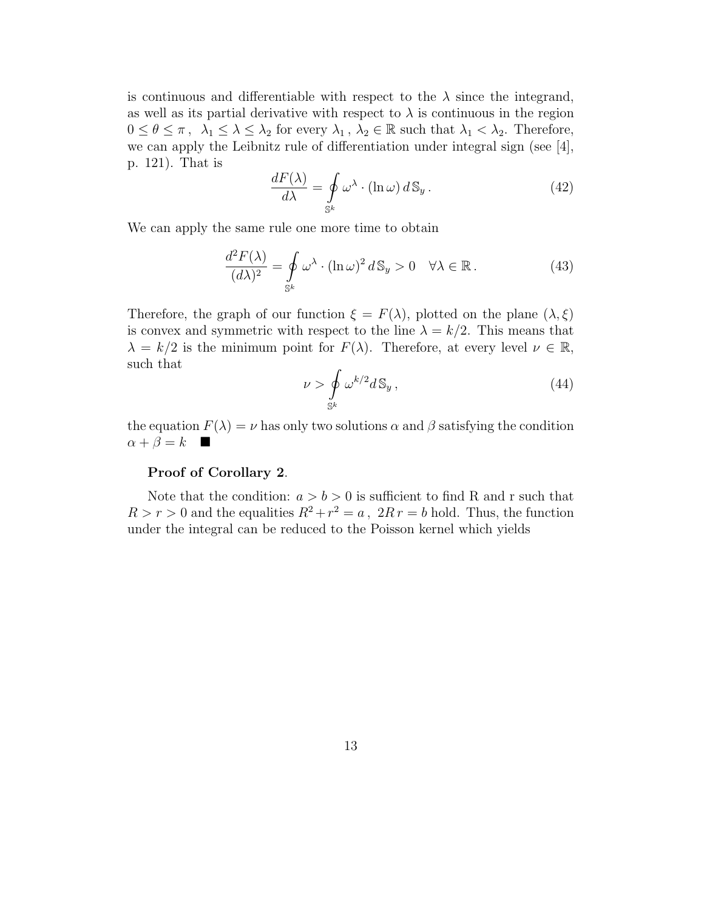is continuous and differentiable with respect to the  $\lambda$  since the integrand, as well as its partial derivative with respect to  $\lambda$  is continuous in the region  $0 \leq \theta \leq \pi$ ,  $\lambda_1 \leq \lambda \leq \lambda_2$  for every  $\lambda_1$ ,  $\lambda_2 \in \mathbb{R}$  such that  $\lambda_1 < \lambda_2$ . Therefore, we can apply the Leibnitz rule of differentiation under integral sign (see [4], p. 121). That is

$$
\frac{dF(\lambda)}{d\lambda} = \oint_{\mathbb{S}^k} \omega^\lambda \cdot (\ln \omega) \, d\mathbb{S}_y \,. \tag{42}
$$

We can apply the same rule one more time to obtain

$$
\frac{d^2F(\lambda)}{(d\lambda)^2} = \oint_{\mathbb{S}^k} \omega^\lambda \cdot (\ln \omega)^2 d\mathbb{S}_y > 0 \quad \forall \lambda \in \mathbb{R}.
$$
 (43)

Therefore, the graph of our function  $\xi = F(\lambda)$ , plotted on the plane  $(\lambda, \xi)$ is convex and symmetric with respect to the line  $\lambda = k/2$ . This means that  $\lambda = k/2$  is the minimum point for  $F(\lambda)$ . Therefore, at every level  $\nu \in \mathbb{R}$ , such that

$$
\nu > \oint_{\mathbb{S}^k} \omega^{k/2} d\mathbb{S}_y, \qquad (44)
$$

the equation  $F(\lambda) = \nu$  has only two solutions  $\alpha$  and  $\beta$  satisfying the condition  $\alpha + \beta = k$ 

#### Proof of Corollary 2.

Note that the condition:  $a > b > 0$  is sufficient to find R and r such that  $R > r > 0$  and the equalities  $R^2 + r^2 = a$ ,  $2R r = b$  hold. Thus, the function under the integral can be reduced to the Poisson kernel which yields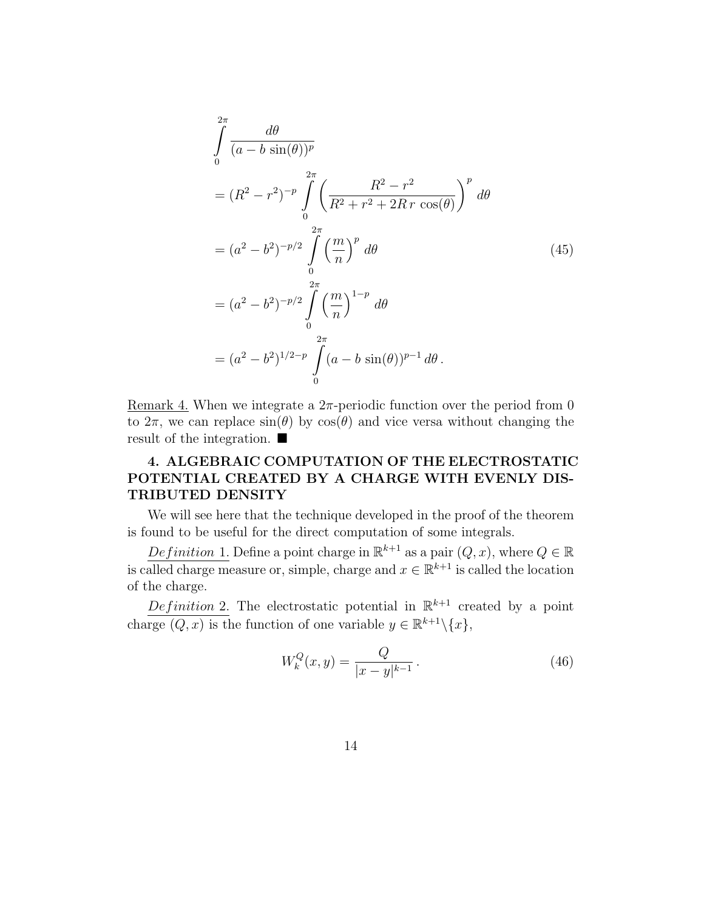$$
\int_{0}^{2\pi} \frac{d\theta}{(a - b \sin(\theta))^{p}}
$$
\n
$$
= (R^{2} - r^{2})^{-p} \int_{0}^{2\pi} \left( \frac{R^{2} - r^{2}}{R^{2} + r^{2} + 2R r \cos(\theta)} \right)^{p} d\theta
$$
\n
$$
= (a^{2} - b^{2})^{-p/2} \int_{0}^{2\pi} \left( \frac{m}{n} \right)^{p} d\theta
$$
\n
$$
= (a^{2} - b^{2})^{-p/2} \int_{0}^{2\pi} \left( \frac{m}{n} \right)^{1-p} d\theta
$$
\n
$$
= (a^{2} - b^{2})^{1/2-p} \int_{0}^{2\pi} (a - b \sin(\theta))^{p-1} d\theta.
$$
\n(45)

Remark 4. When we integrate a  $2\pi$ -periodic function over the period from 0 to  $2\pi$ , we can replace  $\sin(\theta)$  by  $\cos(\theta)$  and vice versa without changing the result of the integration.

### 4. ALGEBRAIC COMPUTATION OF THE ELECTROSTATIC POTENTIAL CREATED BY A CHARGE WITH EVENLY DIS-TRIBUTED DENSITY

We will see here that the technique developed in the proof of the theorem is found to be useful for the direct computation of some integrals.

Definition 1. Define a point charge in  $\mathbb{R}^{k+1}$  as a pair  $(Q, x)$ , where  $Q \in \mathbb{R}$ is called charge measure or, simple, charge and  $x \in \mathbb{R}^{k+1}$  is called the location of the charge.

Definition 2. The electrostatic potential in  $\mathbb{R}^{k+1}$  created by a point charge  $(Q, x)$  is the function of one variable  $y \in \mathbb{R}^{k+1} \setminus \{x\},\$ 

$$
W_k^Q(x, y) = \frac{Q}{|x - y|^{k - 1}}.
$$
\n(46)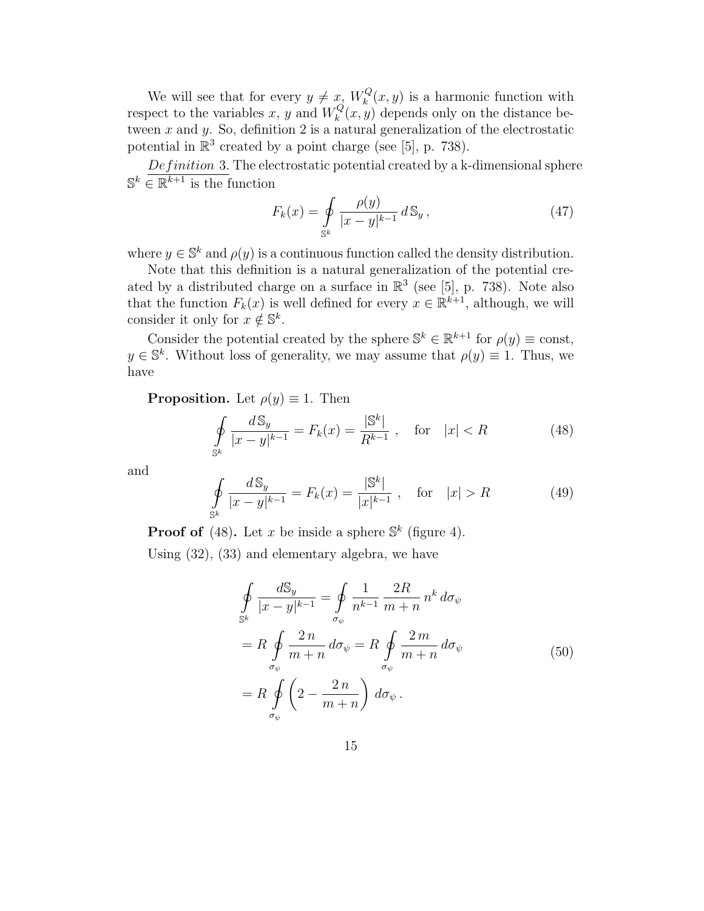We will see that for every  $y \neq x$ ,  $W_k^Q$  $\kappa_k^{Q}(x, y)$  is a harmonic function with respect to the variables x, y and  $W_k^Q$  $k<sup>Q</sup>(x, y)$  depends only on the distance between  $x$  and  $y$ . So, definition 2 is a natural generalization of the electrostatic potential in  $\mathbb{R}^3$  created by a point charge (see [5], p. 738).

 $Definition 3. The electrostatic potential created by a k-dimensional sphere$  $\mathbb{S}^k \in \mathbb{R}^{k+1}$  is the function

$$
F_k(x) = \oint_{\mathbb{S}^k} \frac{\rho(y)}{|x - y|^{k-1}} \, d\mathbb{S}_y \,,\tag{47}
$$

where  $y \in \mathbb{S}^k$  and  $\rho(y)$  is a continuous function called the density distribution.

Note that this definition is a natural generalization of the potential created by a distributed charge on a surface in  $\mathbb{R}^3$  (see [5], p. 738). Note also that the function  $F_k(x)$  is well defined for every  $x \in \mathbb{R}^{k+1}$ , although, we will consider it only for  $x \notin \mathbb{S}^k$ .

Consider the potential created by the sphere  $\mathbb{S}^k \in \mathbb{R}^{k+1}$  for  $\rho(y) \equiv \text{const}$ ,  $y \in \mathbb{S}^k$ . Without loss of generality, we may assume that  $\rho(y) \equiv 1$ . Thus, we have

**Proposition.** Let  $\rho(y) \equiv 1$ . Then

$$
\oint_{S^k} \frac{dS_y}{|x - y|^{k - 1}} = F_k(x) = \frac{|S^k|}{R^{k - 1}}, \quad \text{for} \quad |x| < R \tag{48}
$$

and

$$
\oint_{\mathbb{S}^k} \frac{d \mathbb{S}_y}{|x - y|^{k - 1}} = F_k(x) = \frac{|\mathbb{S}^k|}{|x|^{k - 1}}, \quad \text{for} \quad |x| > R \tag{49}
$$

**Proof of** (48). Let x be inside a sphere  $\mathbb{S}^k$  (figure 4).

Using (32), (33) and elementary algebra, we have

$$
\oint_{S^k} \frac{dS_y}{|x - y|^{k-1}} = \oint_{\sigma_{\psi}} \frac{1}{n^{k-1}} \frac{2R}{m+n} n^k d\sigma_{\psi}
$$
\n
$$
= R \oint_{\sigma_{\psi}} \frac{2n}{m+n} d\sigma_{\psi} = R \oint_{\sigma_{\psi}} \frac{2m}{m+n} d\sigma_{\psi}
$$
\n
$$
= R \oint_{\sigma_{\psi}} \left(2 - \frac{2n}{m+n}\right) d\sigma_{\psi}.
$$
\n(50)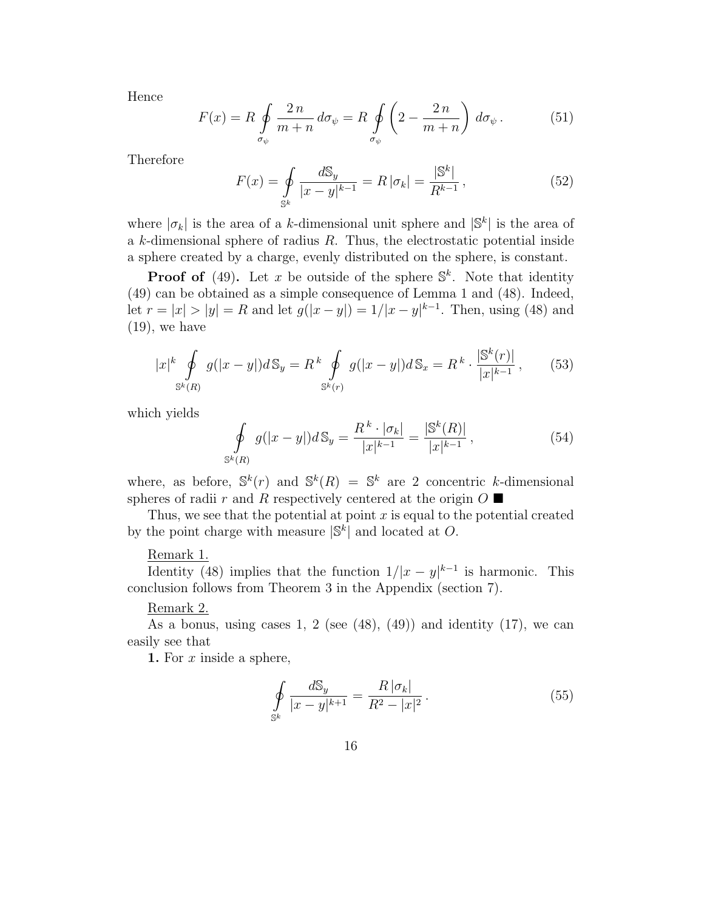Hence

$$
F(x) = R \oint_{\sigma_{\psi}} \frac{2n}{m+n} d\sigma_{\psi} = R \oint_{\sigma_{\psi}} \left( 2 - \frac{2n}{m+n} \right) d\sigma_{\psi}.
$$
 (51)

Therefore

$$
F(x) = \oint_{S^k} \frac{dS_y}{|x - y|^{k - 1}} = R |\sigma_k| = \frac{|S^k|}{R^{k - 1}},
$$
\n(52)

where  $|\sigma_k|$  is the area of a k-dimensional unit sphere and  $|\mathbb{S}^k|$  is the area of a k-dimensional sphere of radius R. Thus, the electrostatic potential inside a sphere created by a charge, evenly distributed on the sphere, is constant.

**Proof of** (49). Let x be outside of the sphere  $\mathbb{S}^k$ . Note that identity (49) can be obtained as a simple consequence of Lemma 1 and (48). Indeed, let  $r = |x| > |y| = R$  and let  $g(|x - y|) = 1/|x - y|^{k-1}$ . Then, using (48) and  $(19)$ , we have

$$
|x|^{k} \oint_{\mathbb{S}^{k}(R)} g(|x-y|) d\mathbb{S}_{y} = R^{k} \oint_{\mathbb{S}^{k}(r)} g(|x-y|) d\mathbb{S}_{x} = R^{k} \cdot \frac{|\mathbb{S}^{k}(r)|}{|x|^{k-1}}, \quad (53)
$$

which yields

$$
\oint_{\mathbb{S}^k(R)} g(|x-y|) d\mathbb{S}_y = \frac{R^k \cdot |\sigma_k|}{|x|^{k-1}} = \frac{|\mathbb{S}^k(R)|}{|x|^{k-1}},
$$
\n(54)

where, as before,  $\mathbb{S}^k(r)$  and  $\mathbb{S}^k(R) = \mathbb{S}^k$  are 2 concentric k-dimensional spheres of radii r and R respectively centered at the origin  $O \blacksquare$ 

Thus, we see that the potential at point  $x$  is equal to the potential created by the point charge with measure  $|\mathbb{S}^k|$  and located at O.

#### Remark 1.

Identity (48) implies that the function  $1/|x-y|^{k-1}$  is harmonic. This conclusion follows from Theorem 3 in the Appendix (section 7).

#### Remark 2.

As a bonus, using cases 1, 2 (see  $(48)$ ,  $(49)$ ) and identity  $(17)$ , we can easily see that

**1.** For  $x$  inside a sphere,

$$
\oint_{\mathbb{S}^k} \frac{d\mathbb{S}_y}{|x - y|^{k+1}} = \frac{R|\sigma_k|}{R^2 - |x|^2}.
$$
\n(55)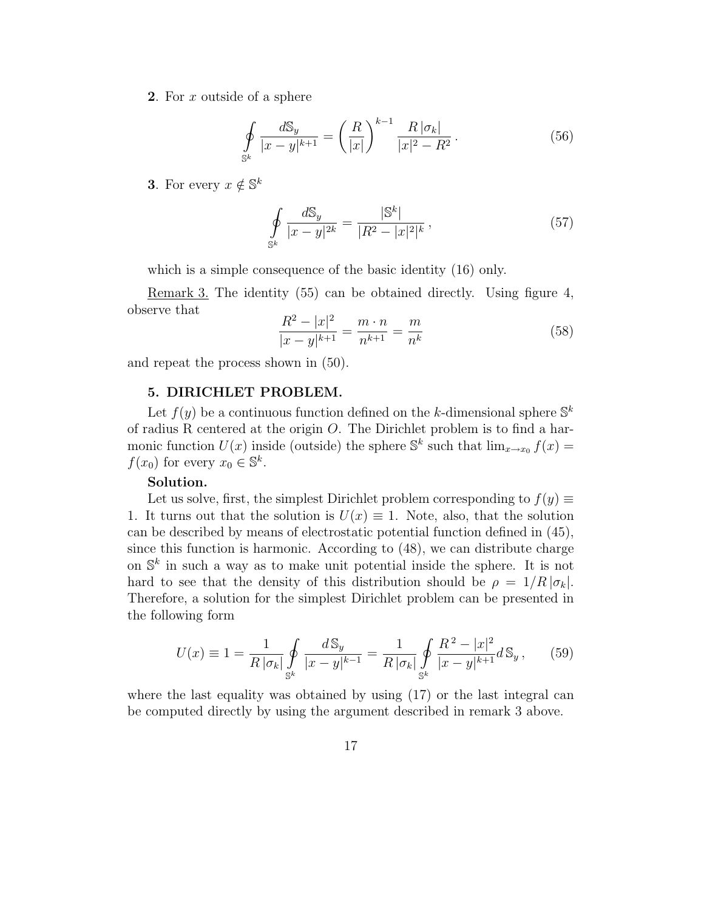2. For x outside of a sphere

$$
\oint_{\mathbb{S}^k} \frac{dS_y}{|x - y|^{k+1}} = \left(\frac{R}{|x|}\right)^{k-1} \frac{R \, |\sigma_k|}{|x|^2 - R^2} \,. \tag{56}
$$

**3**. For every  $x \notin \mathbb{S}^k$ 

$$
\oint_{\mathbb{S}^k} \frac{d\mathbb{S}_y}{|x - y|^{2k}} = \frac{|\mathbb{S}^k|}{|R^2 - |x|^2|^k},
$$
\n(57)

which is a simple consequence of the basic identity (16) only.

Remark 3. The identity (55) can be obtained directly. Using figure 4, observe that

$$
\frac{R^2 - |x|^2}{|x - y|^{k+1}} = \frac{m \cdot n}{n^{k+1}} = \frac{m}{n^k}
$$
\n(58)

and repeat the process shown in (50).

#### 5. DIRICHLET PROBLEM.

Let  $f(y)$  be a continuous function defined on the k-dimensional sphere  $\mathbb{S}^k$ of radius R centered at the origin O. The Dirichlet problem is to find a harmonic function  $U(x)$  inside (outside) the sphere  $\mathbb{S}^k$  such that  $\lim_{x\to x_0} f(x) =$  $f(x_0)$  for every  $x_0 \in \mathbb{S}^k$ .

#### Solution.

Let us solve, first, the simplest Dirichlet problem corresponding to  $f(y) \equiv$ 1. It turns out that the solution is  $U(x) \equiv 1$ . Note, also, that the solution can be described by means of electrostatic potential function defined in (45), since this function is harmonic. According to (48), we can distribute charge on  $\mathbb{S}^k$  in such a way as to make unit potential inside the sphere. It is not hard to see that the density of this distribution should be  $\rho = 1/R |\sigma_k|$ . Therefore, a solution for the simplest Dirichlet problem can be presented in the following form

$$
U(x) \equiv 1 = \frac{1}{R \, |\sigma_k|} \oint_{\mathbb{S}^k} \frac{d \, \mathbb{S}_y}{|x - y|^{k - 1}} = \frac{1}{R \, |\sigma_k|} \oint_{\mathbb{S}^k} \frac{R^2 - |x|^2}{|x - y|^{k + 1}} d \, \mathbb{S}_y \,, \tag{59}
$$

where the last equality was obtained by using (17) or the last integral can be computed directly by using the argument described in remark 3 above.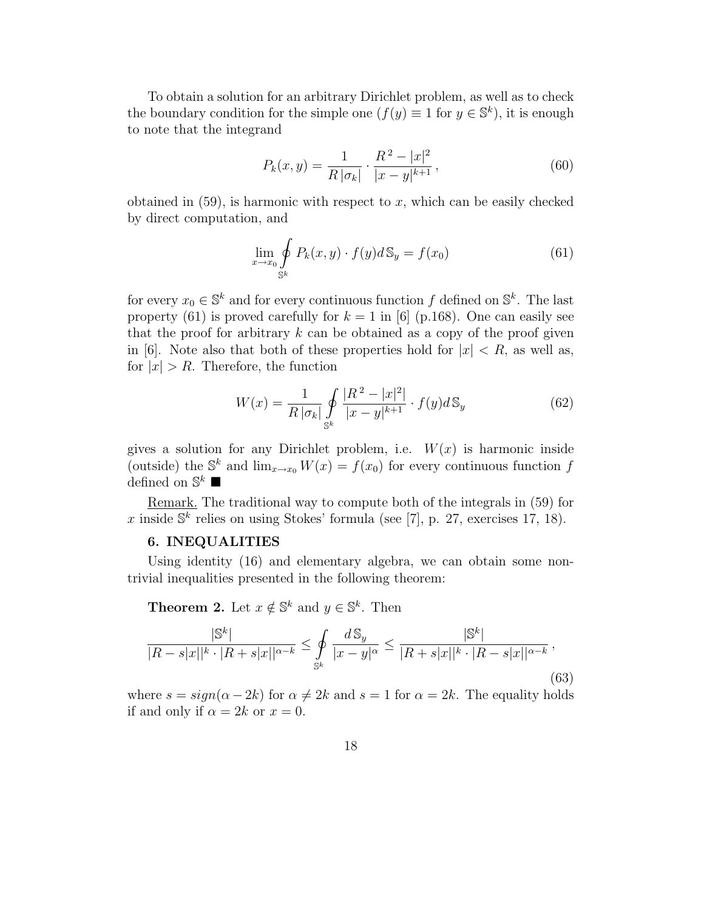To obtain a solution for an arbitrary Dirichlet problem, as well as to check the boundary condition for the simple one  $(f(y) \equiv 1 \text{ for } y \in \mathbb{S}^k)$ , it is enough to note that the integrand

$$
P_k(x,y) = \frac{1}{R|\sigma_k|} \cdot \frac{R^2 - |x|^2}{|x - y|^{k+1}},
$$
\n(60)

obtained in  $(59)$ , is harmonic with respect to x, which can be easily checked by direct computation, and

$$
\lim_{x \to x_0} \oint_{\mathbb{S}^k} P_k(x, y) \cdot f(y) d\mathbb{S}_y = f(x_0)
$$
\n(61)

for every  $x_0 \in \mathbb{S}^k$  and for every continuous function f defined on  $\mathbb{S}^k$ . The last property (61) is proved carefully for  $k = 1$  in [6] (p.168). One can easily see that the proof for arbitrary  $k$  can be obtained as a copy of the proof given in [6]. Note also that both of these properties hold for  $|x| < R$ , as well as, for  $|x| > R$ . Therefore, the function

$$
W(x) = \frac{1}{R \, |\sigma_k|} \oint\limits_{\mathbb{S}^k} \frac{|R^2 - |x|^2|}{|x - y|^{k+1}} \cdot f(y) d\mathbb{S}_y \tag{62}
$$

gives a solution for any Dirichlet problem, i.e.  $W(x)$  is harmonic inside (outside) the  $\mathbb{S}^k$  and  $\lim_{x\to x_0} W(x) = f(x_0)$  for every continuous function f defined on  $\mathbb{S}^k$   $\blacksquare$ 

Remark. The traditional way to compute both of the integrals in (59) for x inside  $\mathbb{S}^k$  relies on using Stokes' formula (see [7], p. 27, exercises 17, 18).

#### 6. INEQUALITIES

Using identity (16) and elementary algebra, we can obtain some nontrivial inequalities presented in the following theorem:

**Theorem 2.** Let  $x \notin \mathbb{S}^k$  and  $y \in \mathbb{S}^k$ . Then

$$
\frac{|\mathbb{S}^k|}{|R - s|x||^k \cdot |R + s|x||^{\alpha - k}} \le \oint_{\mathbb{S}^k} \frac{d\mathbb{S}_y}{|x - y|^{\alpha}} \le \frac{|\mathbb{S}^k|}{|R + s|x||^k \cdot |R - s|x||^{\alpha - k}},\tag{63}
$$

where  $s = sign(\alpha - 2k)$  for  $\alpha \neq 2k$  and  $s = 1$  for  $\alpha = 2k$ . The equality holds if and only if  $\alpha = 2k$  or  $x = 0$ .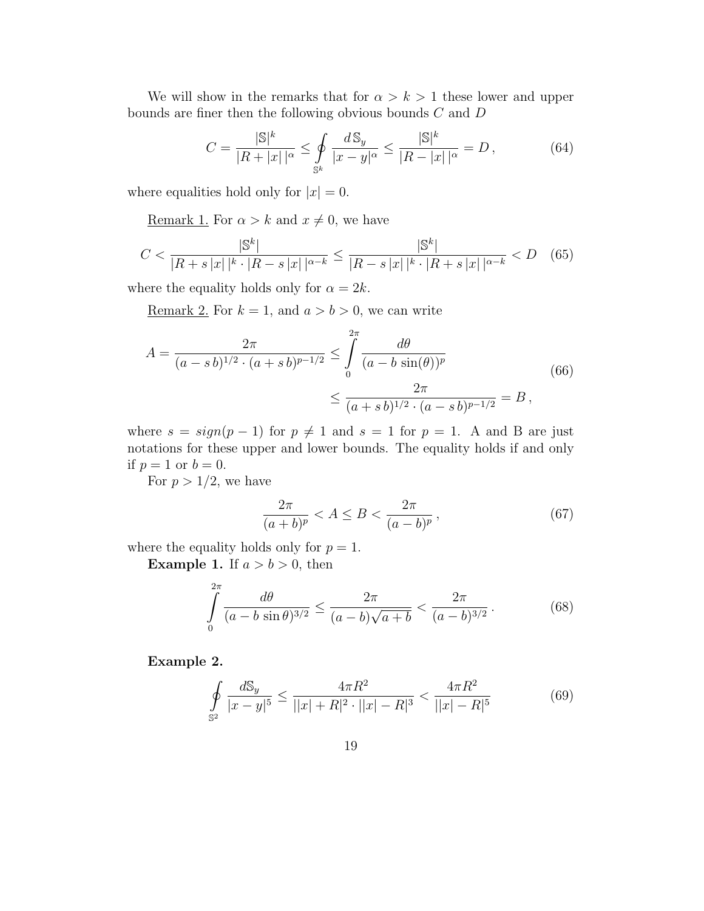We will show in the remarks that for  $\alpha > k > 1$  these lower and upper bounds are finer then the following obvious bounds  $C$  and  $D$ 

$$
C = \frac{|\mathbb{S}|^k}{|R + |x| |^{\alpha}} \le \oint_{\mathbb{S}^k} \frac{d \mathbb{S}_y}{|x - y|^{\alpha}} \le \frac{|\mathbb{S}|^k}{|R - |x| |^{\alpha}} = D,
$$
(64)

where equalities hold only for  $|x| = 0$ .

<u>Remark 1.</u> For  $\alpha > k$  and  $x \neq 0$ , we have

$$
C < \frac{|\mathbb{S}^k|}{|R+s|x||^k \cdot |R-s|x||^{\alpha-k}} \le \frac{|\mathbb{S}^k|}{|R-s|x||^k \cdot |R+s|x||^{\alpha-k}} < D \quad (65)
$$

where the equality holds only for  $\alpha = 2k$ .

Remark 2. For  $k = 1$ , and  $a > b > 0$ , we can write

$$
A = \frac{2\pi}{(a-s\,b)^{1/2} \cdot (a+s\,b)^{p-1/2}} \le \int_{0}^{2\pi} \frac{d\theta}{(a-b\sin(\theta))^p} \le \frac{2\pi}{(a+s\,b)^{1/2} \cdot (a-s\,b)^{p-1/2}} = B,
$$
\n(66)

where  $s = sign(p-1)$  for  $p \neq 1$  and  $s = 1$  for  $p = 1$ . A and B are just notations for these upper and lower bounds. The equality holds if and only if  $p = 1$  or  $b = 0$ .

For  $p > 1/2$ , we have

$$
\frac{2\pi}{(a+b)^p} < A \le B < \frac{2\pi}{(a-b)^p},\tag{67}
$$

where the equality holds only for  $p = 1$ .

**Example 1.** If  $a > b > 0$ , then

$$
\int_{0}^{2\pi} \frac{d\theta}{(a-b\sin\theta)^{3/2}} \le \frac{2\pi}{(a-b)\sqrt{a+b}} < \frac{2\pi}{(a-b)^{3/2}}.
$$
 (68)

Example 2.

$$
\oint_{\mathbb{S}^2} \frac{d\mathbb{S}_y}{|x-y|^5} \le \frac{4\pi R^2}{||x|+R|^2 \cdot ||x|-R|^3} < \frac{4\pi R^2}{||x|-R|^5} \tag{69}
$$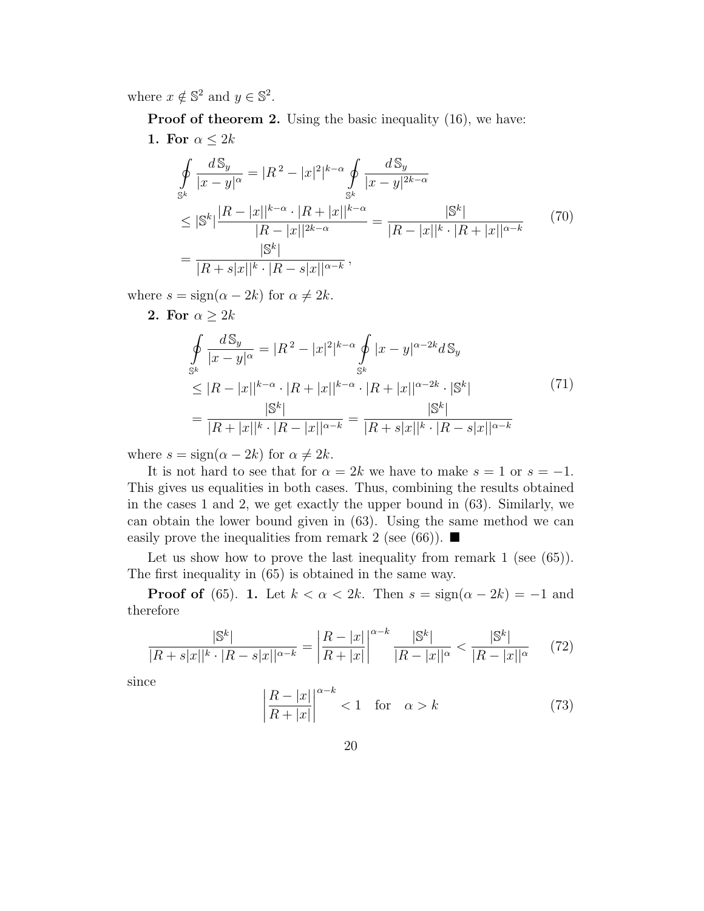where  $x \notin \mathbb{S}^2$  and  $y \in \mathbb{S}^2$ .

**Proof of theorem 2.** Using the basic inequality (16), we have: 1. For  $\alpha \leq 2k$ 

$$
\oint_{S^k} \frac{dS_y}{|x - y|^{\alpha}} = |R^2 - |x|^2|^{k - \alpha} \oint_{S^k} \frac{dS_y}{|x - y|^{2k - \alpha}}
$$
\n
$$
\leq |S^k| \frac{|R - |x||^{k - \alpha} \cdot |R + |x||^{k - \alpha}}{|R - |x||^{2k - \alpha}} = \frac{|S^k|}{|R - |x||^k \cdot |R + |x||^{\alpha - k}}
$$
\n
$$
= \frac{|S^k|}{|R + s|x||^k \cdot |R - s|x||^{\alpha - k}},
$$
\n(70)

where  $s = sign(\alpha - 2k)$  for  $\alpha \neq 2k$ .

2. For  $\alpha \geq 2k$ 

$$
\oint_{S^k} \frac{dS_y}{|x - y|^{\alpha}} = |R^2 - |x|^2|^{k - \alpha} \oint_{S^k} |x - y|^{\alpha - 2k} dS_y
$$
\n
$$
\leq |R - |x||^{k - \alpha} \cdot |R + |x||^{k - \alpha} \cdot |R + |x||^{\alpha - 2k} \cdot |S^k|
$$
\n
$$
= \frac{|S^k|}{|R + |x||^k \cdot |R - |x||^{\alpha - k}} = \frac{|S^k|}{|R + s|x||^k \cdot |R - s|x||^{\alpha - k}}
$$
\n(71)

where  $s = sign(\alpha - 2k)$  for  $\alpha \neq 2k$ .

It is not hard to see that for  $\alpha = 2k$  we have to make  $s = 1$  or  $s = -1$ . This gives us equalities in both cases. Thus, combining the results obtained in the cases 1 and 2, we get exactly the upper bound in (63). Similarly, we can obtain the lower bound given in (63). Using the same method we can easily prove the inequalities from remark 2 (see (66)).  $\blacksquare$ 

Let us show how to prove the last inequality from remark 1 (see (65)). The first inequality in (65) is obtained in the same way.

**Proof of** (65). 1. Let  $k < \alpha < 2k$ . Then  $s = \text{sign}(\alpha - 2k) = -1$  and therefore

$$
\frac{|\mathbb{S}^k|}{|R+s|x||^k \cdot |R-s|x||^{\alpha-k}} = \left| \frac{R-|x|}{R+|x|} \right|^{\alpha-k} \frac{|\mathbb{S}^k|}{|R-|x||^{\alpha}} < \frac{|\mathbb{S}^k|}{|R-|x||^{\alpha}} \tag{72}
$$

since

$$
\left| \frac{R - |x|}{R + |x|} \right|^{\alpha - k} < 1 \quad \text{for} \quad \alpha > k \tag{73}
$$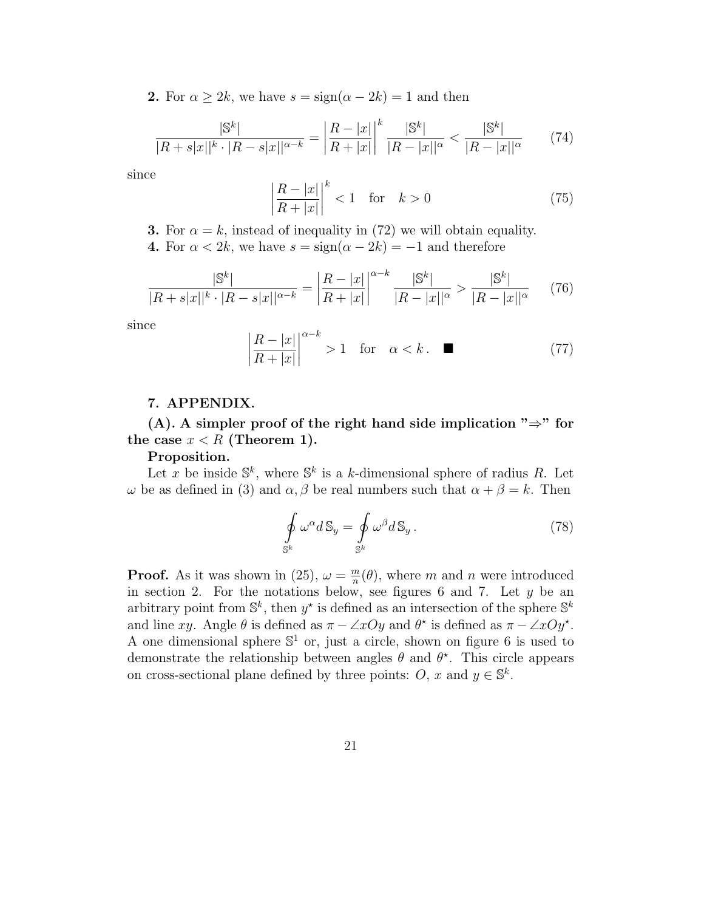**2.** For  $\alpha \geq 2k$ , we have  $s = \text{sign}(\alpha - 2k) = 1$  and then

$$
\frac{|\mathbb{S}^k|}{|R+s|x||^k \cdot |R-s|x||^{\alpha-k}} = \left| \frac{R-|x|}{R+|x|} \right|^k \frac{|\mathbb{S}^k|}{|R-|x||^{\alpha}} < \frac{|\mathbb{S}^k|}{|R-|x||^{\alpha}} \tag{74}
$$

since

$$
\left|\frac{R-|x|}{R+|x|}\right|^k < 1 \quad \text{for} \quad k > 0\tag{75}
$$

**3.** For  $\alpha = k$ , instead of inequality in (72) we will obtain equality.

4. For  $\alpha < 2k$ , we have  $s = \text{sign}(\alpha - 2k) = -1$  and therefore

$$
\frac{|\mathbb{S}^k|}{|R+s|x||^k \cdot |R-s|x||^{\alpha-k}} = \left| \frac{R-|x|}{R+|x|} \right|^{\alpha-k} \frac{|\mathbb{S}^k|}{|R-|x||^{\alpha}} > \frac{|\mathbb{S}^k|}{|R-|x||^{\alpha}} \tag{76}
$$

since

$$
\left|\frac{R-|x|}{R+|x|}\right|^{\alpha-k} > 1 \quad \text{for} \quad \alpha < k \, . \tag{77}
$$

#### 7. APPENDIX.

(A). A simpler proof of the right hand side implication " $\Rightarrow$ " for the case  $x < R$  (Theorem 1).

#### Proposition.

Let x be inside  $\mathbb{S}^k$ , where  $\mathbb{S}^k$  is a k-dimensional sphere of radius R. Let  $ω$  be as defined in (3) and  $α, β$  be real numbers such that  $α + β = k$ . Then

$$
\oint_{\mathbb{S}^k} \omega^{\alpha} d\mathbb{S}_y = \oint_{\mathbb{S}^k} \omega^{\beta} d\mathbb{S}_y. \tag{78}
$$

**Proof.** As it was shown in (25),  $\omega = \frac{m}{n}$  $\frac{m}{n}(\theta)$ , where m and n were introduced in section 2. For the notations below, see figures 6 and 7. Let  $y$  be an arbitrary point from  $\mathbb{S}^k$ , then  $y^*$  is defined as an intersection of the sphere  $\mathbb{S}^k$ and line xy. Angle  $\theta$  is defined as  $\pi - \angle xOy$  and  $\theta^*$  is defined as  $\pi - \angle xOy^*$ . A one dimensional sphere  $\mathbb{S}^1$  or, just a circle, shown on figure 6 is used to demonstrate the relationship between angles  $\theta$  and  $\theta^*$ . This circle appears on cross-sectional plane defined by three points:  $O, x$  and  $y \in \mathbb{S}^k$ .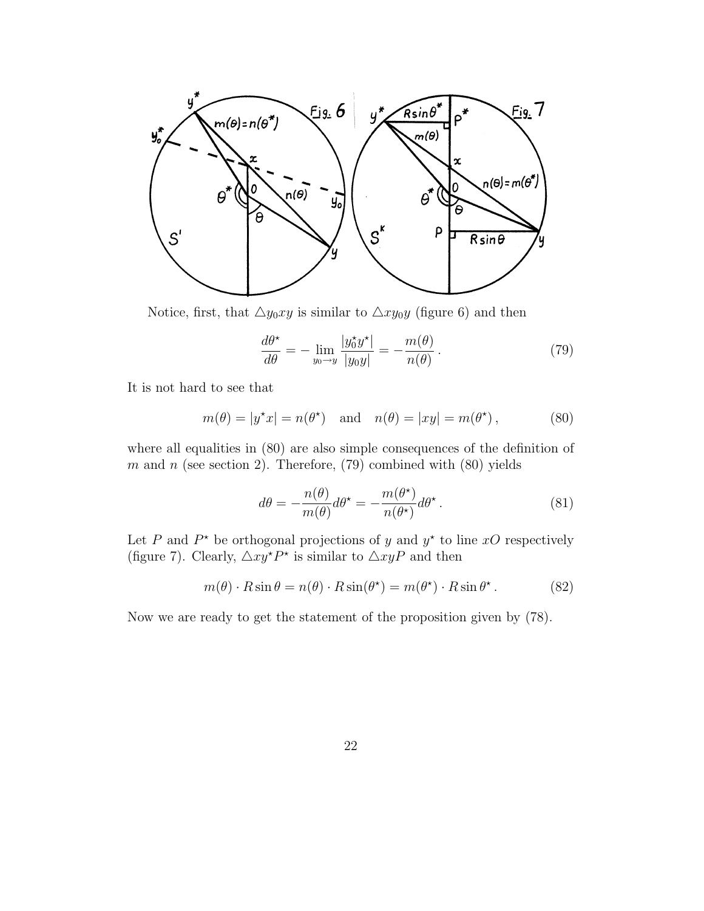

Notice, first, that  $\triangle y_0xy$  is similar to  $\triangle xy_0y$  (figure 6) and then

$$
\frac{d\theta^*}{d\theta} = -\lim_{y_0 \to y} \frac{|y_0^* y^*|}{|y_0 y|} = -\frac{m(\theta)}{n(\theta)}.
$$
\n(79)

It is not hard to see that

$$
m(\theta) = |y^*x| = n(\theta^*)
$$
 and  $n(\theta) = |xy| = m(\theta^*)$ , (80)

where all equalities in (80) are also simple consequences of the definition of m and n (see section 2). Therefore,  $(79)$  combined with  $(80)$  yields

$$
d\theta = -\frac{n(\theta)}{m(\theta)}d\theta^* = -\frac{m(\theta^*)}{n(\theta^*)}d\theta^*.
$$
 (81)

Let P and  $P^*$  be orthogonal projections of y and  $y^*$  to line xO respectively (figure 7). Clearly,  $\triangle xy^* P^*$  is similar to  $\triangle xyP$  and then

$$
m(\theta) \cdot R \sin \theta = n(\theta) \cdot R \sin(\theta^*) = m(\theta^*) \cdot R \sin \theta^*.
$$
 (82)

Now we are ready to get the statement of the proposition given by (78).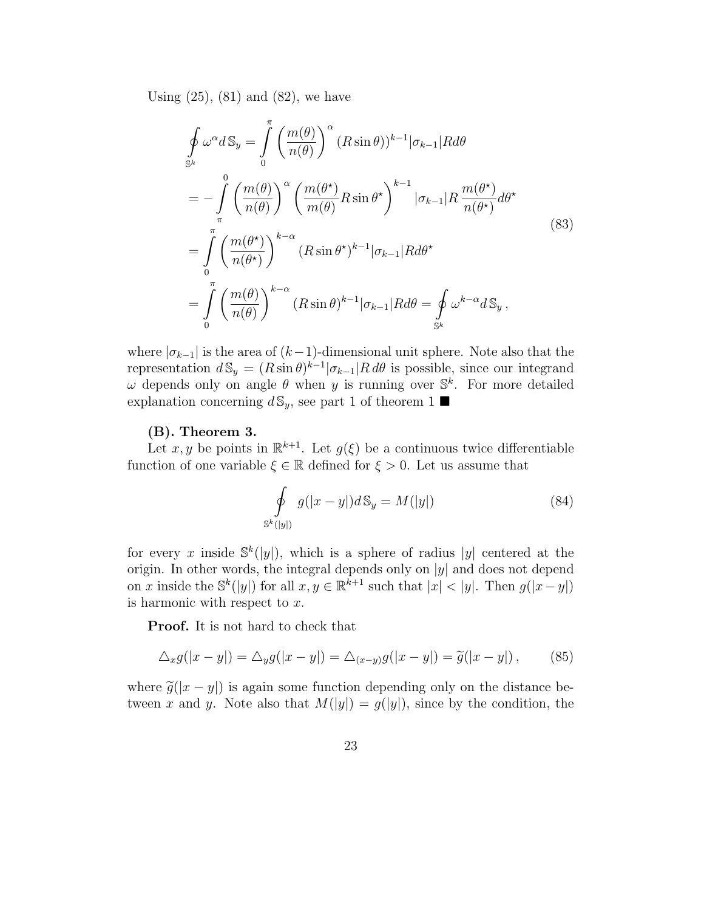Using  $(25)$ ,  $(81)$  and  $(82)$ , we have

$$
\oint_{\mathbb{S}^k} \omega^{\alpha} dS_y = \int_0^{\pi} \left( \frac{m(\theta)}{n(\theta)} \right)^{\alpha} (R \sin \theta)^{k-1} |\sigma_{k-1}| R d\theta
$$
\n
$$
= -\int_{\pi}^0 \left( \frac{m(\theta)}{n(\theta)} \right)^{\alpha} \left( \frac{m(\theta^*)}{m(\theta)} R \sin \theta^* \right)^{k-1} |\sigma_{k-1}| R \frac{m(\theta^*)}{n(\theta^*)} d\theta^*
$$
\n
$$
= \int_0^{\pi} \left( \frac{m(\theta^*)}{n(\theta^*)} \right)^{k-\alpha} (R \sin \theta^*)^{k-1} |\sigma_{k-1}| R d\theta^*
$$
\n
$$
= \int_0^{\pi} \left( \frac{m(\theta)}{n(\theta)} \right)^{k-\alpha} (R \sin \theta)^{k-1} |\sigma_{k-1}| R d\theta = \oint_{\mathbb{S}^k} \omega^{k-\alpha} dS_y,
$$
\n(83)

where  $|\sigma_{k-1}|$  is the area of  $(k-1)$ -dimensional unit sphere. Note also that the representation  $d\mathbb{S}_y = (R\sin\theta)^{k-1} |\sigma_{k-1}| R d\theta$  is possible, since our integrand  $ω$  depends only on angle  $θ$  when y is running over  $\mathbb{S}^k$ . For more detailed explanation concerning  $d\mathbb{S}_y$ , see part 1 of theorem 1

#### (B). Theorem 3.

Let  $x, y$  be points in  $\mathbb{R}^{k+1}$ . Let  $g(\xi)$  be a continuous twice differentiable function of one variable  $\xi \in \mathbb{R}$  defined for  $\xi > 0$ . Let us assume that

$$
\oint_{\mathbb{S}^k(|y|)} g(|x-y|)d\mathbb{S}_y = M(|y|)
$$
\n(84)

for every x inside  $\mathbb{S}^k(|y|)$ , which is a sphere of radius |y| centered at the origin. In other words, the integral depends only on  $|y|$  and does not depend on x inside the  $\mathbb{S}^k(|y|)$  for all  $x, y \in \mathbb{R}^{k+1}$  such that  $|x| < |y|$ . Then  $g(|x-y|)$ is harmonic with respect to  $x$ .

Proof. It is not hard to check that

$$
\Delta_x g(|x-y|) = \Delta_y g(|x-y|) = \Delta_{(x-y)} g(|x-y|) = \tilde{g}(|x-y|) , \qquad (85)
$$

where  $\tilde{g}(|x-y|)$  is again some function depending only on the distance between x and y. Note also that  $M(|y|) = g(|y|)$ , since by the condition, the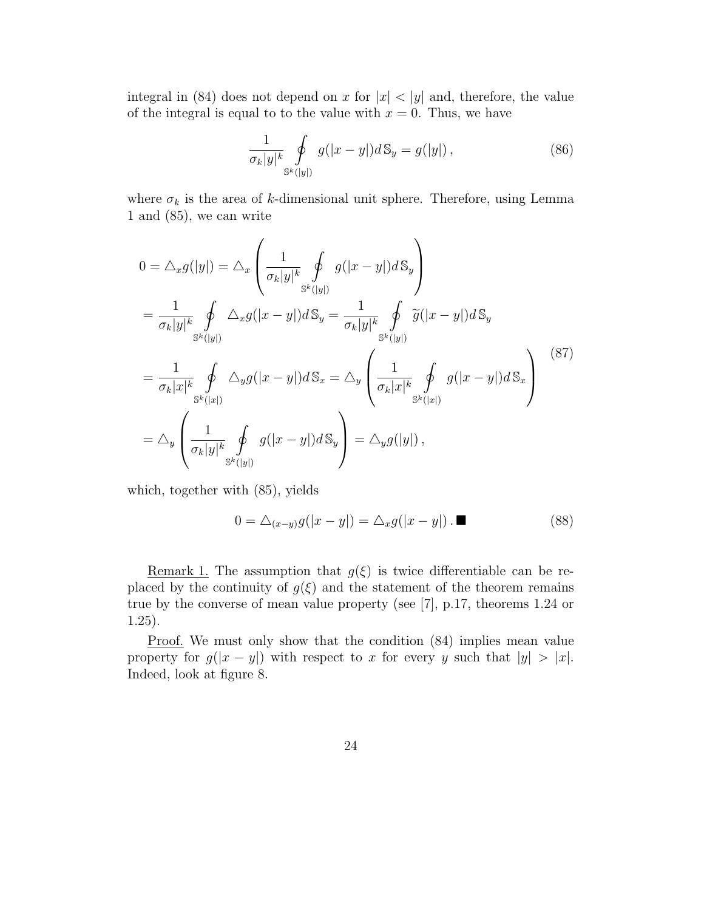integral in (84) does not depend on x for  $|x| < |y|$  and, therefore, the value of the integral is equal to to the value with  $x = 0$ . Thus, we have

$$
\frac{1}{\sigma_k|y|^k} \oint\limits_{\mathbb{S}^k(|y|)} g(|x-y|)d\mathbb{S}_y = g(|y|) , \qquad (86)
$$

where  $\sigma_k$  is the area of k-dimensional unit sphere. Therefore, using Lemma 1 and (85), we can write

$$
0 = \Delta_x g(|y|) = \Delta_x \left( \frac{1}{\sigma_k |y|^k} \oint_{S^k(|y|)} g(|x-y|) dS_y \right)
$$
  
\n
$$
= \frac{1}{\sigma_k |y|^k} \oint_{S^k(|y|)} \Delta_x g(|x-y|) dS_y = \frac{1}{\sigma_k |y|^k} \oint_{S^k(|y|)} \tilde{g}(|x-y|) dS_y
$$
  
\n
$$
= \frac{1}{\sigma_k |x|^k} \oint_{S^k(|x|)} \Delta_y g(|x-y|) dS_x = \Delta_y \left( \frac{1}{\sigma_k |x|^k} \oint_{S^k(|x|)} g(|x-y|) dS_x \right)
$$
  
\n
$$
= \Delta_y \left( \frac{1}{\sigma_k |y|^k} \oint_{S^k(|y|)} g(|x-y|) dS_y \right) = \Delta_y g(|y|),
$$
\n(87)

which, together with (85), yields

$$
0 = \triangle_{(x-y)} g(|x-y|) = \triangle_x g(|x-y|) . \blacksquare \tag{88}
$$

<u>Remark 1.</u> The assumption that  $g(\xi)$  is twice differentiable can be replaced by the continuity of  $g(\xi)$  and the statement of the theorem remains true by the converse of mean value property (see [7], p.17, theorems 1.24 or 1.25).

Proof. We must only show that the condition (84) implies mean value property for  $g(|x - y|)$  with respect to x for every y such that  $|y| > |x|$ . Indeed, look at figure 8.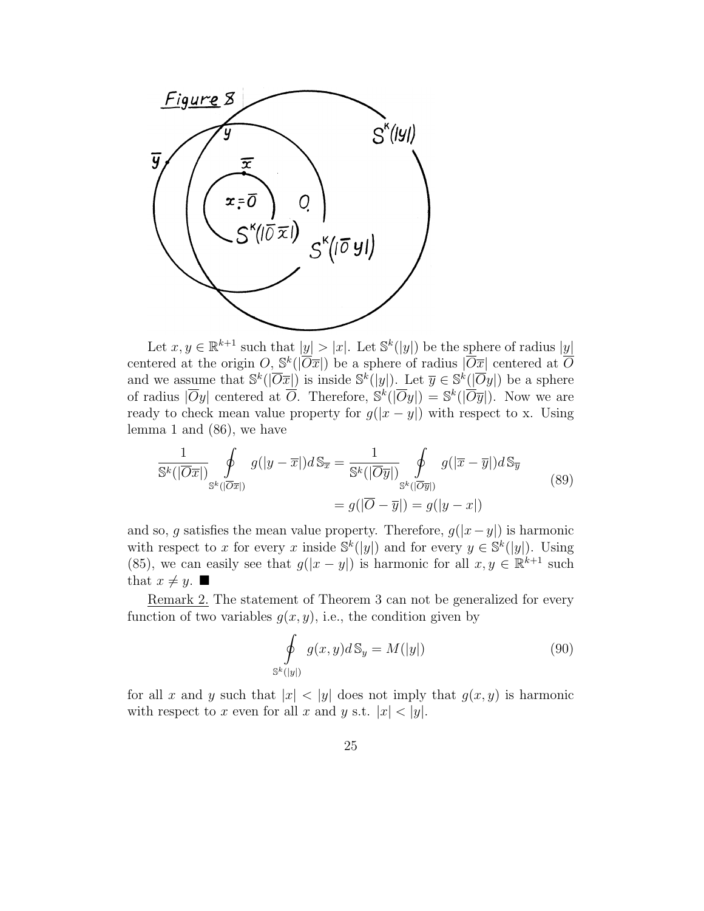

Let  $x, y \in \mathbb{R}^{k+1}$  such that  $|y| > |x|$ . Let  $\mathbb{S}^k(|y|)$  be the sphere of radius  $|y|$ centered at the origin  $O, S^k(|\overline{O}x|)$  be a sphere of radius  $|\overline{O}x|$  centered at  $\overline{O}$ and we assume that  $\mathbb{S}^k(|\overline{O} \overline{x}|)$  is inside  $\mathbb{S}^k(|y|)$ . Let  $\overline{y} \in \mathbb{S}^k(|\overline{O}y|)$  be a sphere of radius  $|\overline{O}y|$  centered at  $\overline{O}$ . Therefore,  $\mathbb{S}^k(|\overline{O}y|) = \mathbb{S}^k(|\overline{O}\overline{y}|)$ . Now we are ready to check mean value property for  $g(|x - y|)$  with respect to x. Using lemma 1 and (86), we have

$$
\frac{1}{\mathbb{S}^k(|\overline{O}\overline{x}|)}\oint_{\mathbb{S}^k(|\overline{O}\overline{x}|)} g(|y-\overline{x}|)d\mathbb{S}_{\overline{x}} = \frac{1}{\mathbb{S}^k(|\overline{O}\overline{y}|)}\oint_{\mathbb{S}^k(|\overline{O}\overline{y}|)} g(|\overline{x}-\overline{y}|)d\mathbb{S}_{\overline{y}}= g(|\overline{O}-\overline{y}|) = g(|y-x|)
$$
\n(89)

and so, q satisfies the mean value property. Therefore,  $g(|x-y|)$  is harmonic with respect to x for every x inside  $\mathbb{S}^k(|y|)$  and for every  $y \in \mathbb{S}^k(|y|)$ . Using (85), we can easily see that  $g(|x-y|)$  is harmonic for all  $x, y \in \mathbb{R}^{k+1}$  such that  $x \neq y$ .

Remark 2. The statement of Theorem 3 can not be generalized for every function of two variables  $g(x, y)$ , i.e., the condition given by

$$
\oint_{\mathbb{S}^k(|y|)} g(x,y)d\mathbb{S}_y = M(|y|)
$$
\n(90)

for all x and y such that  $|x| < |y|$  does not imply that  $g(x, y)$  is harmonic with respect to x even for all x and y s.t.  $|x| < |y|$ .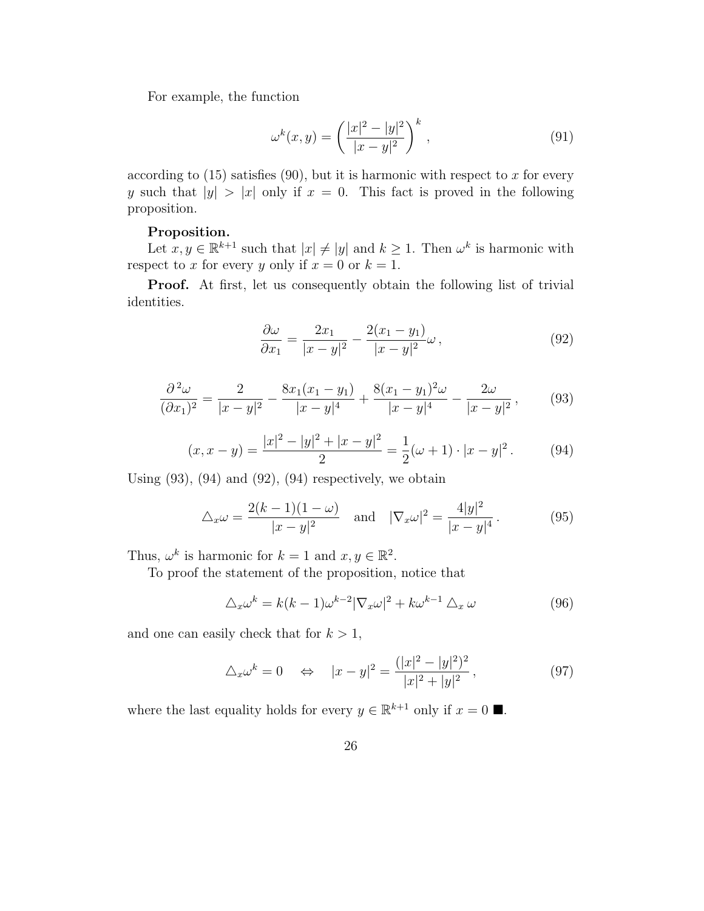For example, the function

$$
\omega^{k}(x, y) = \left(\frac{|x|^{2} - |y|^{2}}{|x - y|^{2}}\right)^{k}, \qquad (91)
$$

according to  $(15)$  satisfies  $(90)$ , but it is harmonic with respect to x for every y such that  $|y| > |x|$  only if  $x = 0$ . This fact is proved in the following proposition.

#### Proposition.

Let  $x, y \in \mathbb{R}^{k+1}$  such that  $|x| \neq |y|$  and  $k \geq 1$ . Then  $\omega^k$  is harmonic with respect to x for every y only if  $x = 0$  or  $k = 1$ .

Proof. At first, let us consequently obtain the following list of trivial identities.

$$
\frac{\partial \omega}{\partial x_1} = \frac{2x_1}{|x - y|^2} - \frac{2(x_1 - y_1)}{|x - y|^2} \omega,
$$
\n(92)

$$
\frac{\partial^2 \omega}{(\partial x_1)^2} = \frac{2}{|x-y|^2} - \frac{8x_1(x_1 - y_1)}{|x-y|^4} + \frac{8(x_1 - y_1)^2 \omega}{|x-y|^4} - \frac{2\omega}{|x-y|^2},\tag{93}
$$

$$
(x, x - y) = \frac{|x|^2 - |y|^2 + |x - y|^2}{2} = \frac{1}{2}(\omega + 1) \cdot |x - y|^2. \tag{94}
$$

Using  $(93)$ ,  $(94)$  and  $(92)$ ,  $(94)$  respectively, we obtain

$$
\Delta_x \omega = \frac{2(k-1)(1-\omega)}{|x-y|^2} \quad \text{and} \quad |\nabla_x \omega|^2 = \frac{4|y|^2}{|x-y|^4}.
$$
 (95)

Thus,  $\omega^k$  is harmonic for  $k = 1$  and  $x, y \in \mathbb{R}^2$ .

To proof the statement of the proposition, notice that

$$
\Delta_x \omega^k = k(k-1)\omega^{k-2} |\nabla_x \omega|^2 + k\omega^{k-1} \Delta_x \omega \tag{96}
$$

and one can easily check that for  $k > 1$ ,

$$
\Delta_x \omega^k = 0 \quad \Leftrightarrow \quad |x - y|^2 = \frac{(|x|^2 - |y|^2)^2}{|x|^2 + |y|^2}, \tag{97}
$$

where the last equality holds for every  $y \in \mathbb{R}^{k+1}$  only if  $x = 0$ .